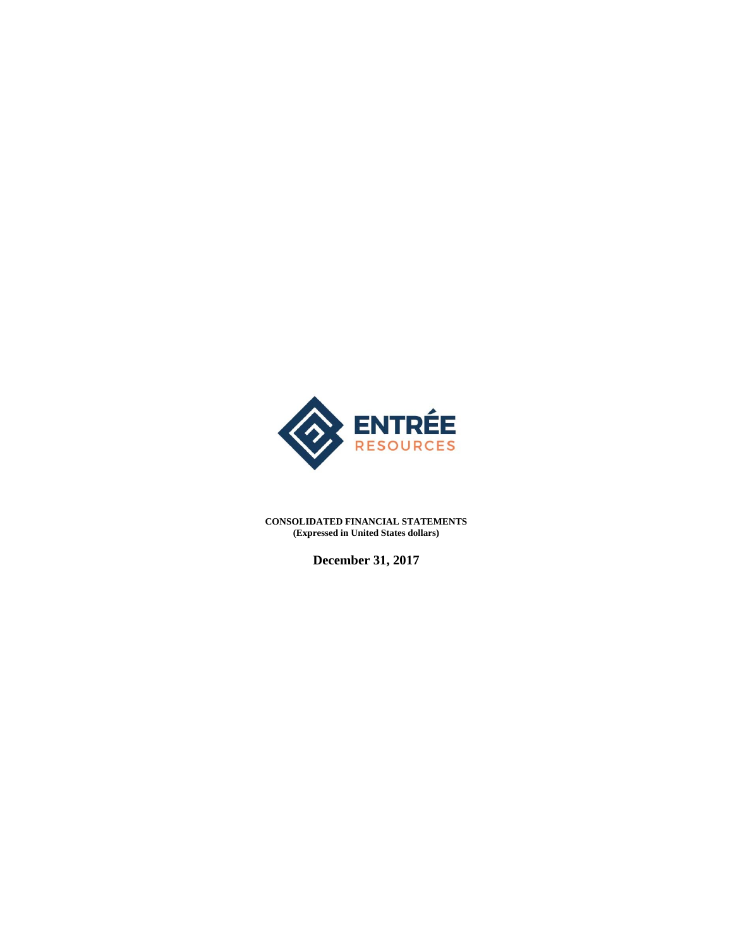

**CONSOLIDATED FINANCIAL STATEMENTS (Expressed in United States dollars)** 

**December 31, 2017**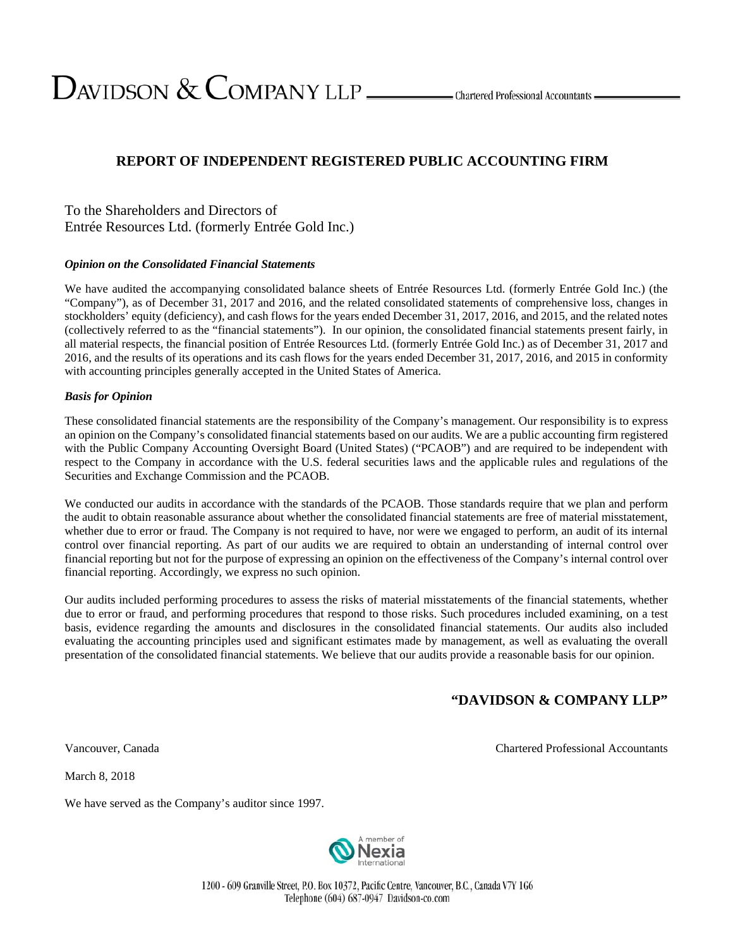### **REPORT OF INDEPENDENT REGISTERED PUBLIC ACCOUNTING FIRM**

To the Shareholders and Directors of Entrée Resources Ltd. (formerly Entrée Gold Inc.)

#### *Opinion on the Consolidated Financial Statements*

We have audited the accompanying consolidated balance sheets of Entrée Resources Ltd. (formerly Entrée Gold Inc.) (the "Company"), as of December 31, 2017 and 2016, and the related consolidated statements of comprehensive loss, changes in stockholders' equity (deficiency), and cash flows for the years ended December 31, 2017, 2016, and 2015, and the related notes (collectively referred to as the "financial statements"). In our opinion, the consolidated financial statements present fairly, in all material respects, the financial position of Entrée Resources Ltd. (formerly Entrée Gold Inc.) as of December 31, 2017 and 2016, and the results of its operations and its cash flows for the years ended December 31, 2017, 2016, and 2015 in conformity with accounting principles generally accepted in the United States of America.

#### *Basis for Opinion*

These consolidated financial statements are the responsibility of the Company's management. Our responsibility is to express an opinion on the Company's consolidated financial statements based on our audits. We are a public accounting firm registered with the Public Company Accounting Oversight Board (United States) ("PCAOB") and are required to be independent with respect to the Company in accordance with the U.S. federal securities laws and the applicable rules and regulations of the Securities and Exchange Commission and the PCAOB.

We conducted our audits in accordance with the standards of the PCAOB. Those standards require that we plan and perform the audit to obtain reasonable assurance about whether the consolidated financial statements are free of material misstatement, whether due to error or fraud. The Company is not required to have, nor were we engaged to perform, an audit of its internal control over financial reporting. As part of our audits we are required to obtain an understanding of internal control over financial reporting but not for the purpose of expressing an opinion on the effectiveness of the Company's internal control over financial reporting. Accordingly, we express no such opinion.

Our audits included performing procedures to assess the risks of material misstatements of the financial statements, whether due to error or fraud, and performing procedures that respond to those risks. Such procedures included examining, on a test basis, evidence regarding the amounts and disclosures in the consolidated financial statements. Our audits also included evaluating the accounting principles used and significant estimates made by management, as well as evaluating the overall presentation of the consolidated financial statements. We believe that our audits provide a reasonable basis for our opinion.

### **"DAVIDSON & COMPANY LLP"**

March 8, 2018

We have served as the Company's auditor since 1997.



1200 - 609 Granville Street, P.O. Box 10372, Pacific Centre, Vancouver, B.C., Canada V7Y 1G6 Telephone (604) 687-0947 Davidson-co.com

Vancouver, Canada Chartered Professional Accountants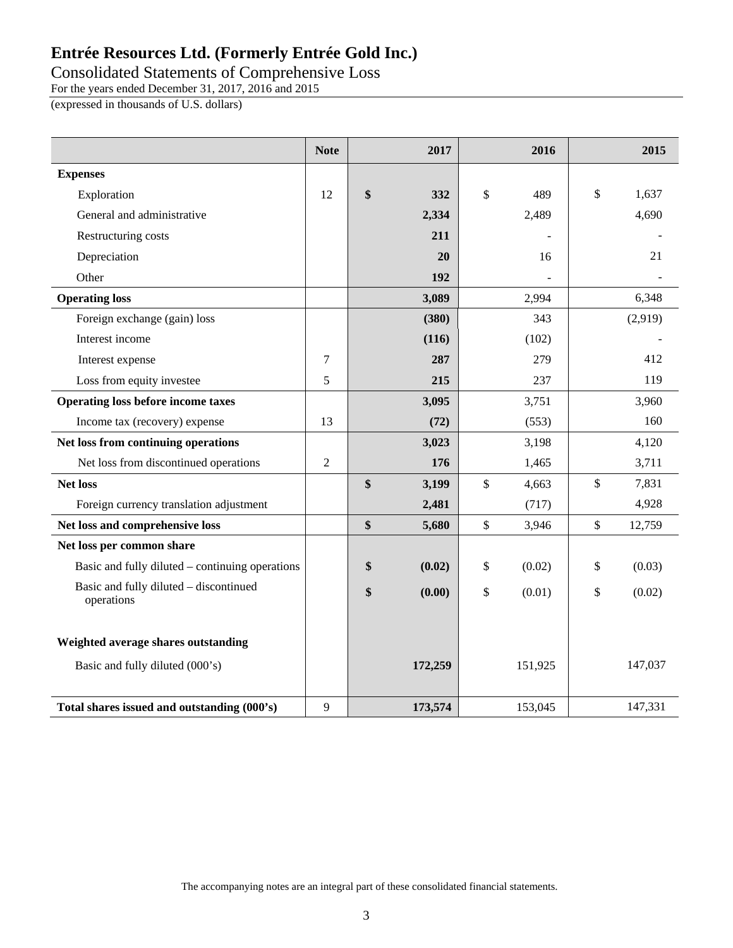Consolidated Statements of Comprehensive Loss

For the years ended December 31, 2017, 2016 and 2015

(expressed in thousands of U.S. dollars)

|                                                      | <b>Note</b>    | 2017         | 2016         |               | 2015    |
|------------------------------------------------------|----------------|--------------|--------------|---------------|---------|
| <b>Expenses</b>                                      |                |              |              |               |         |
| Exploration                                          | 12             | \$<br>332    | \$<br>489    | \$            | 1,637   |
| General and administrative                           |                | 2,334        | 2,489        |               | 4,690   |
| Restructuring costs                                  |                | 211          |              |               |         |
| Depreciation                                         |                | 20           | 16           |               | 21      |
| Other                                                |                | 192          |              |               |         |
| <b>Operating loss</b>                                |                | 3,089        | 2,994        |               | 6,348   |
| Foreign exchange (gain) loss                         |                | (380)        | 343          |               | (2,919) |
| Interest income                                      |                | (116)        | (102)        |               |         |
| Interest expense                                     | 7              | 287          | 279          |               | 412     |
| Loss from equity investee                            | 5              | 215          | 237          |               | 119     |
| <b>Operating loss before income taxes</b>            |                | 3,095        | 3,751        |               | 3,960   |
| Income tax (recovery) expense                        | 13             | (72)         | (553)        |               | 160     |
| Net loss from continuing operations                  |                | 3,023        | 3,198        |               | 4,120   |
| Net loss from discontinued operations                | $\mathfrak{2}$ | 176          | 1,465        |               | 3,711   |
| <b>Net loss</b>                                      |                | \$<br>3,199  | \$<br>4,663  | $\mathcal{S}$ | 7,831   |
| Foreign currency translation adjustment              |                | 2,481        | (717)        |               | 4,928   |
| Net loss and comprehensive loss                      |                | \$<br>5,680  | \$<br>3,946  | $\mathcal{S}$ | 12,759  |
| Net loss per common share                            |                |              |              |               |         |
| Basic and fully diluted – continuing operations      |                | \$<br>(0.02) | \$<br>(0.02) | \$            | (0.03)  |
| Basic and fully diluted - discontinued<br>operations |                | \$<br>(0.00) | \$<br>(0.01) | \$            | (0.02)  |
| Weighted average shares outstanding                  |                |              |              |               |         |
| Basic and fully diluted (000's)                      |                | 172,259      | 151,925      |               | 147,037 |
| Total shares issued and outstanding (000's)          | 9              | 173,574      | 153,045      |               | 147,331 |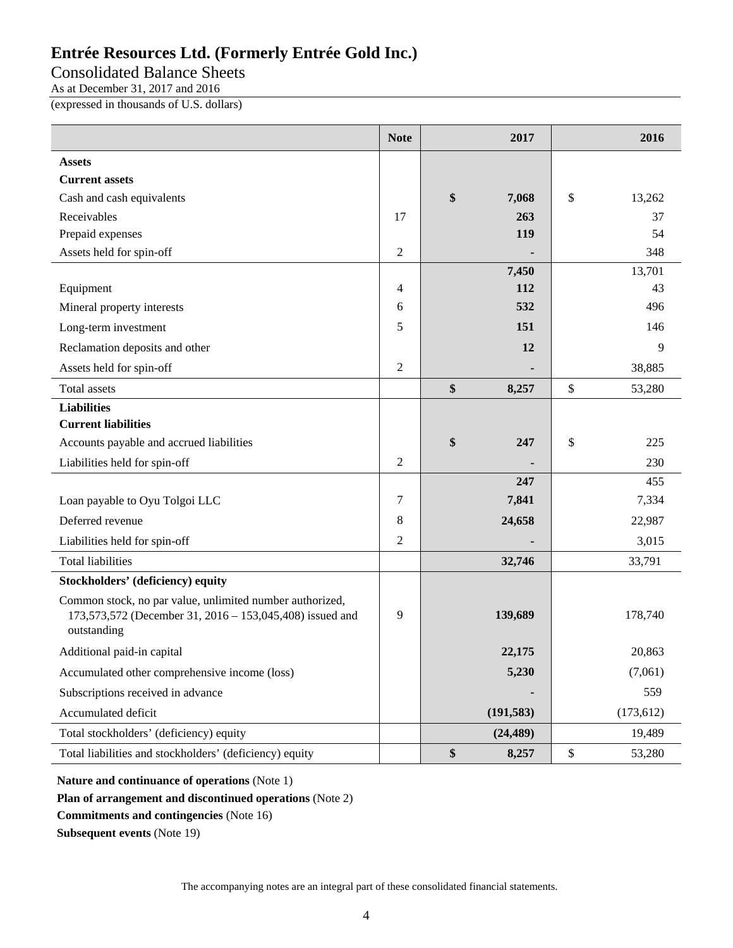Consolidated Balance Sheets

As at December 31, 2017 and 2016

(expressed in thousands of U.S. dollars)

|                                                                                                                                     | <b>Note</b>    | 2017        |      | 2016       |
|-------------------------------------------------------------------------------------------------------------------------------------|----------------|-------------|------|------------|
| <b>Assets</b>                                                                                                                       |                |             |      |            |
| <b>Current assets</b>                                                                                                               |                |             |      |            |
| Cash and cash equivalents                                                                                                           |                | \$<br>7,068 | \$   | 13,262     |
| Receivables                                                                                                                         | 17             | 263         |      | 37         |
| Prepaid expenses                                                                                                                    |                | 119         |      | 54         |
| Assets held for spin-off                                                                                                            | $\mathfrak{2}$ |             |      | 348        |
|                                                                                                                                     |                | 7,450       |      | 13,701     |
| Equipment                                                                                                                           | 4              | 112         |      | 43         |
| Mineral property interests                                                                                                          | 6              | 532         |      | 496        |
| Long-term investment                                                                                                                | 5              | 151         |      | 146        |
| Reclamation deposits and other                                                                                                      |                | 12          |      | 9          |
| Assets held for spin-off                                                                                                            | $\mathfrak{2}$ |             |      | 38,885     |
| <b>Total</b> assets                                                                                                                 |                | \$<br>8,257 | \$   | 53,280     |
| <b>Liabilities</b>                                                                                                                  |                |             |      |            |
| <b>Current liabilities</b>                                                                                                          |                |             |      |            |
| Accounts payable and accrued liabilities                                                                                            |                | \$<br>247   | \$   | 225        |
| Liabilities held for spin-off                                                                                                       | 2              |             |      | 230        |
|                                                                                                                                     |                | 247         |      | 455        |
| Loan payable to Oyu Tolgoi LLC                                                                                                      | 7              | 7,841       |      | 7,334      |
| Deferred revenue                                                                                                                    | 8              | 24,658      |      | 22,987     |
| Liabilities held for spin-off                                                                                                       | $\mathfrak{2}$ |             |      | 3,015      |
| <b>Total liabilities</b>                                                                                                            |                | 32,746      |      | 33,791     |
| Stockholders' (deficiency) equity                                                                                                   |                |             |      |            |
| Common stock, no par value, unlimited number authorized,<br>173,573,572 (December 31, 2016 – 153,045,408) issued and<br>outstanding | 9              | 139,689     |      | 178,740    |
| Additional paid-in capital                                                                                                          |                | 22,175      |      | 20,863     |
| Accumulated other comprehensive income (loss)                                                                                       |                | 5,230       |      | (7,061)    |
| Subscriptions received in advance                                                                                                   |                |             |      | 559        |
| Accumulated deficit                                                                                                                 |                | (191, 583)  |      | (173, 612) |
| Total stockholders' (deficiency) equity                                                                                             |                | (24, 489)   |      | 19,489     |
| Total liabilities and stockholders' (deficiency) equity                                                                             |                | \$<br>8,257 | $\$$ | 53,280     |

**Nature and continuance of operations** (Note 1)

**Plan of arrangement and discontinued operations** (Note 2)

**Commitments and contingencies** (Note 16)

**Subsequent events** (Note 19)

 $\overline{a}$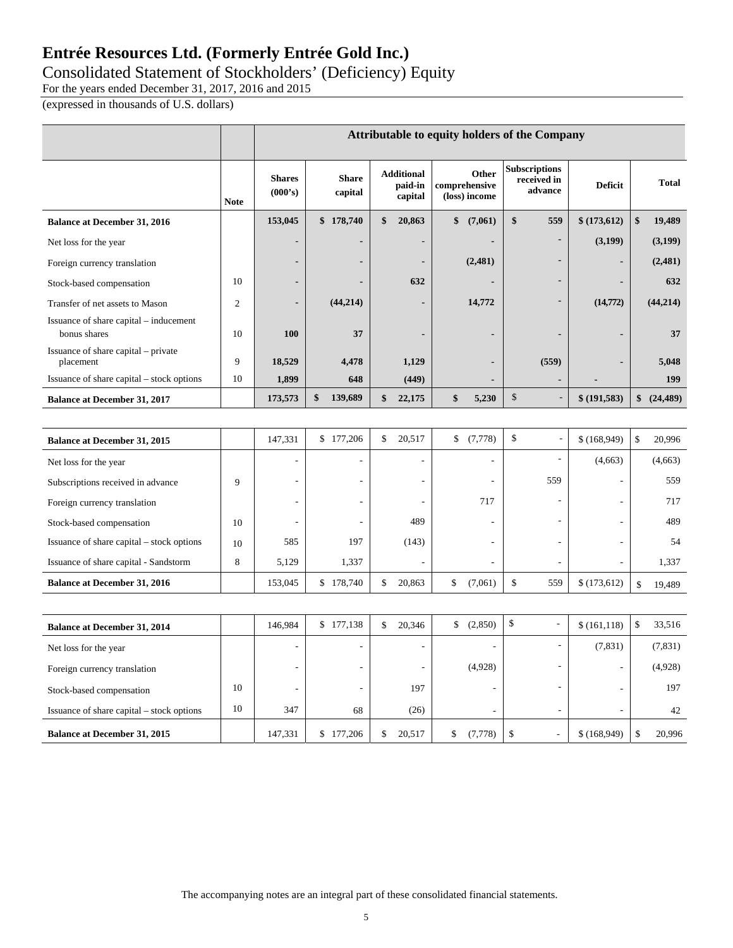Consolidated Statement of Stockholders' (Deficiency) Equity

For the years ended December 31, 2017, 2016 and 2015

(expressed in thousands of U.S. dollars)

|                                                        |                | Attributable to equity holders of the Company |                         |                                         |                                         |                                                |                |                        |
|--------------------------------------------------------|----------------|-----------------------------------------------|-------------------------|-----------------------------------------|-----------------------------------------|------------------------------------------------|----------------|------------------------|
|                                                        | <b>Note</b>    | <b>Shares</b><br>(000's)                      | <b>Share</b><br>capital | <b>Additional</b><br>paid-in<br>capital | Other<br>comprehensive<br>(loss) income | <b>Subscriptions</b><br>received in<br>advance | <b>Deficit</b> | <b>Total</b>           |
| <b>Balance at December 31, 2016</b>                    |                | 153,045                                       | \$178,740               | 20,863<br>\$                            | \$<br>(7,061)                           | \$<br>559                                      | \$(173,612)    | \$<br>19,489           |
| Net loss for the year                                  |                |                                               |                         | $\overline{\phantom{a}}$                |                                         |                                                | (3,199)        | (3, 199)               |
| Foreign currency translation                           |                |                                               |                         |                                         | (2, 481)                                | $\blacksquare$                                 |                | (2,481)                |
| Stock-based compensation                               | 10             |                                               |                         | 632                                     |                                         |                                                |                | 632                    |
| Transfer of net assets to Mason                        | $\overline{2}$ |                                               | (44, 214)               |                                         | 14,772                                  |                                                | (14,772)       | (44, 214)              |
| Issuance of share capital – inducement<br>bonus shares | 10             | 100                                           | 37                      | $\overline{\phantom{0}}$                | $\blacksquare$                          |                                                |                | 37                     |
| Issuance of share capital – private<br>placement       | 9              | 18,529                                        | 4,478                   | 1,129                                   |                                         | (559)                                          |                | 5,048                  |
| Issuance of share capital – stock options              | 10             | 1,899                                         | 648                     | (449)                                   |                                         |                                                |                | 199                    |
| <b>Balance at December 31, 2017</b>                    |                | 173,573                                       | \$<br>139,689           | \$<br>22,175                            | \$<br>5,230                             | $\mathcal{S}$                                  | \$(191,583)    | \$<br>(24, 489)        |
|                                                        |                |                                               |                         |                                         |                                         |                                                |                |                        |
| <b>Balance at December 31, 2015</b>                    |                | 147,331                                       | \$177,206               | \$<br>20,517                            | \$ (7,778)                              | \$                                             | \$(168,949)    | \$<br>20,996           |
| Net loss for the year                                  |                |                                               |                         | ä,                                      | $\overline{\phantom{a}}$                | $\overline{a}$                                 | (4,663)        | (4,663)                |
| Subscriptions received in advance                      | 9              |                                               |                         | ä,                                      | $\overline{a}$                          | 559                                            | L,             | 559                    |
| Foreign currency translation                           |                |                                               |                         | ÷,                                      | 717                                     |                                                |                | 717                    |
| Stock-based compensation                               | 10             |                                               |                         | 489                                     |                                         | $\overline{a}$                                 |                | 489                    |
| Issuance of share capital – stock options              | 10             | 585                                           | 197                     | (143)                                   |                                         |                                                |                | 54                     |
| Issuance of share capital - Sandstorm                  | 8              | 5,129                                         | 1,337                   | ÷,                                      | $\overline{a}$                          |                                                |                | 1,337                  |
| <b>Balance at December 31, 2016</b>                    |                | 153,045                                       | \$178,740               | \$<br>20,863                            | \$<br>(7,061)                           | \$<br>559                                      | \$(173,612)    | \$<br>19,489           |
|                                                        |                |                                               |                         |                                         |                                         |                                                |                |                        |
| <b>Balance at December 31, 2014</b>                    |                | 146,984                                       | \$177,138               | \$<br>20,346                            | \$<br>(2,850)                           | \$                                             | \$(161, 118)   | $\mathbb{S}$<br>33,516 |
| Net loss for the year                                  |                |                                               |                         | $\overline{a}$                          |                                         | ٠                                              | (7,831)        | (7,831)                |
| Foreign currency translation                           |                |                                               |                         | $\overline{a}$                          | (4,928)                                 |                                                | ÷,             | (4,928)                |
| Stock-based compensation                               | 10             |                                               |                         | 197                                     |                                         | $\overline{a}$                                 |                | 197                    |
| Issuance of share capital – stock options              | 10             | 347                                           | 68                      | (26)                                    |                                         |                                                |                | 42                     |
| <b>Balance at December 31, 2015</b>                    |                | 147,331                                       | \$177,206               | \$<br>20,517                            | \$<br>(7,778)                           | \$<br>$\overline{a}$                           | \$(168,949)    | \$<br>20,996           |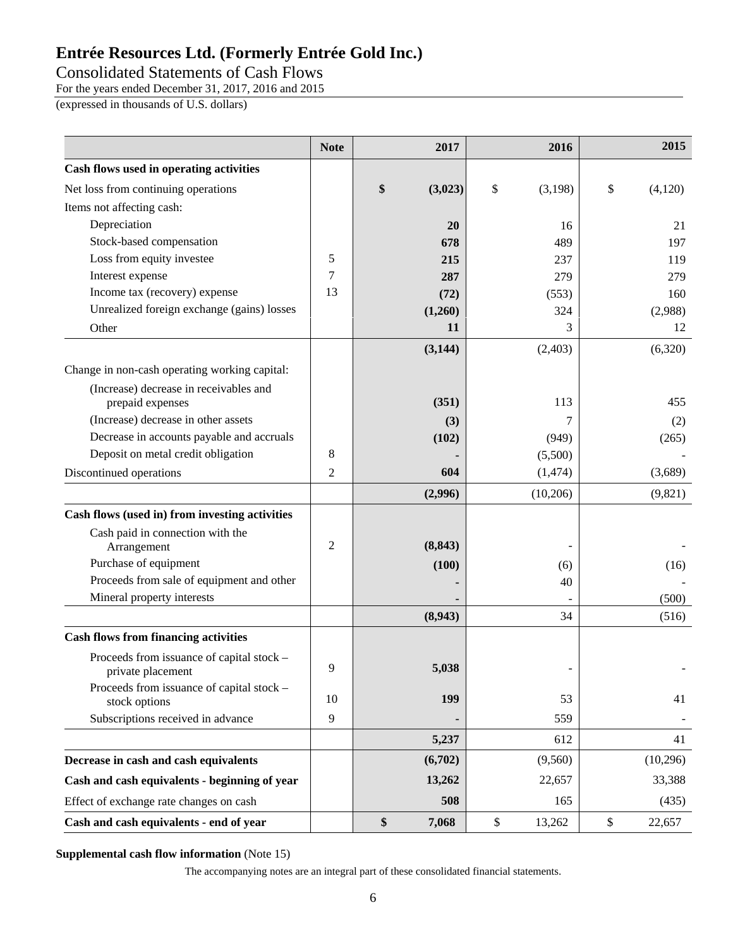Consolidated Statements of Cash Flows

For the years ended December 31, 2017, 2016 and 2015

(expressed in thousands of U.S. dollars)

|                                                                | <b>Note</b> | 2017          | 2016          | 2015          |
|----------------------------------------------------------------|-------------|---------------|---------------|---------------|
| Cash flows used in operating activities                        |             |               |               |               |
| Net loss from continuing operations                            |             | \$<br>(3,023) | \$<br>(3,198) | \$<br>(4,120) |
| Items not affecting cash:                                      |             |               |               |               |
| Depreciation                                                   |             | 20            | 16            | 21            |
| Stock-based compensation                                       |             | 678           | 489           | 197           |
| Loss from equity investee                                      | 5           | 215           | 237           | 119           |
| Interest expense                                               | 7           | 287           | 279           | 279           |
| Income tax (recovery) expense                                  | 13          | (72)          | (553)         | 160           |
| Unrealized foreign exchange (gains) losses                     |             | (1,260)       | 324           | (2,988)       |
| Other                                                          |             | <b>11</b>     | 3             | 12            |
|                                                                |             | (3,144)       | (2,403)       | (6,320)       |
| Change in non-cash operating working capital:                  |             |               |               |               |
| (Increase) decrease in receivables and<br>prepaid expenses     |             | (351)         | 113           | 455           |
| (Increase) decrease in other assets                            |             | (3)           | 7             | (2)           |
| Decrease in accounts payable and accruals                      |             | (102)         | (949)         | (265)         |
| Deposit on metal credit obligation                             | 8           |               | (5,500)       |               |
| Discontinued operations                                        | 2           | 604           | (1, 474)      | (3,689)       |
|                                                                |             | (2,996)       | (10,206)      | (9,821)       |
| Cash flows (used in) from investing activities                 |             |               |               |               |
| Cash paid in connection with the<br>Arrangement                | 2           | (8, 843)      |               |               |
| Purchase of equipment                                          |             | (100)         | (6)           | (16)          |
| Proceeds from sale of equipment and other                      |             |               | 40            |               |
| Mineral property interests                                     |             |               |               | (500)         |
|                                                                |             | (8,943)       | 34            | (516)         |
| <b>Cash flows from financing activities</b>                    |             |               |               |               |
| Proceeds from issuance of capital stock -<br>private placement | 9           | 5,038         |               |               |
| Proceeds from issuance of capital stock -<br>stock options     | 10          | 199           | 53            | 41            |
| Subscriptions received in advance                              | 9           |               | 559           |               |
|                                                                |             | 5,237         | 612           | 41            |
| Decrease in cash and cash equivalents                          |             | (6,702)       | (9,560)       | (10,296)      |
| Cash and cash equivalents - beginning of year                  |             | 13,262        | 22,657        | 33,388        |
| Effect of exchange rate changes on cash                        |             | 508           | 165           | (435)         |
| Cash and cash equivalents - end of year                        |             | \$<br>7,068   | 13,262<br>\$  | \$<br>22,657  |

#### **Supplemental cash flow information** (Note 15)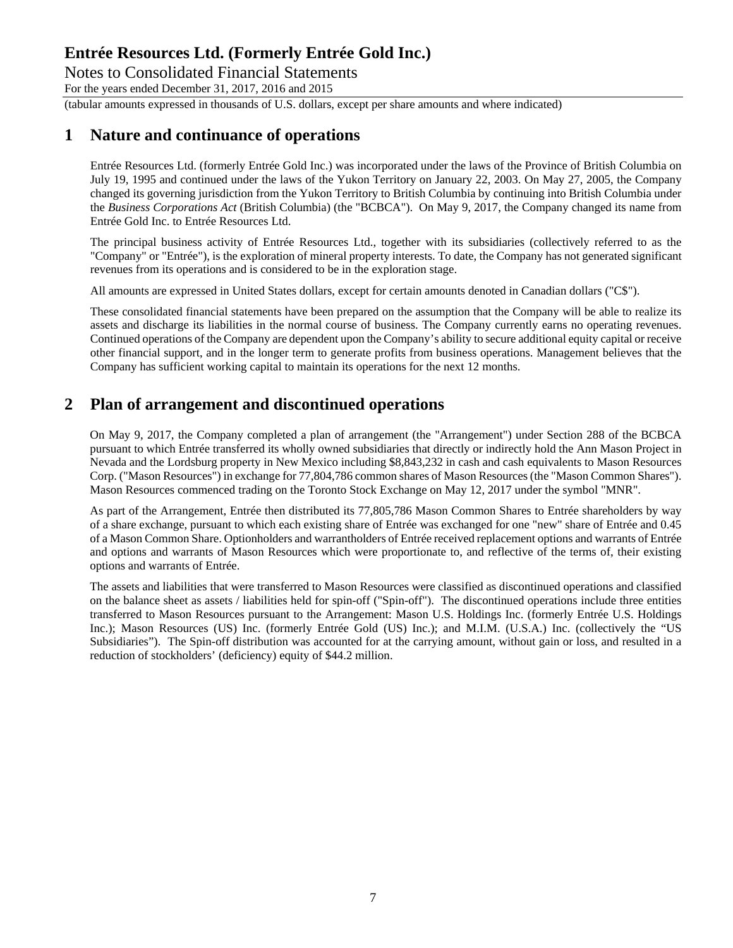Notes to Consolidated Financial Statements

For the years ended December 31, 2017, 2016 and 2015

(tabular amounts expressed in thousands of U.S. dollars, except per share amounts and where indicated)

### **1 Nature and continuance of operations**

Entrée Resources Ltd. (formerly Entrée Gold Inc.) was incorporated under the laws of the Province of British Columbia on July 19, 1995 and continued under the laws of the Yukon Territory on January 22, 2003. On May 27, 2005, the Company changed its governing jurisdiction from the Yukon Territory to British Columbia by continuing into British Columbia under the *Business Corporations Act* (British Columbia) (the "BCBCA"). On May 9, 2017, the Company changed its name from Entrée Gold Inc. to Entrée Resources Ltd.

The principal business activity of Entrée Resources Ltd., together with its subsidiaries (collectively referred to as the "Company" or "Entrée"), is the exploration of mineral property interests. To date, the Company has not generated significant revenues from its operations and is considered to be in the exploration stage.

All amounts are expressed in United States dollars, except for certain amounts denoted in Canadian dollars ("C\$").

These consolidated financial statements have been prepared on the assumption that the Company will be able to realize its assets and discharge its liabilities in the normal course of business. The Company currently earns no operating revenues. Continued operations of the Company are dependent upon the Company's ability to secure additional equity capital or receive other financial support, and in the longer term to generate profits from business operations. Management believes that the Company has sufficient working capital to maintain its operations for the next 12 months.

# **2 Plan of arrangement and discontinued operations**

On May 9, 2017, the Company completed a plan of arrangement (the "Arrangement") under Section 288 of the BCBCA pursuant to which Entrée transferred its wholly owned subsidiaries that directly or indirectly hold the Ann Mason Project in Nevada and the Lordsburg property in New Mexico including \$8,843,232 in cash and cash equivalents to Mason Resources Corp. ("Mason Resources") in exchange for 77,804,786 common shares of Mason Resources (the "Mason Common Shares"). Mason Resources commenced trading on the Toronto Stock Exchange on May 12, 2017 under the symbol "MNR".

As part of the Arrangement, Entrée then distributed its 77,805,786 Mason Common Shares to Entrée shareholders by way of a share exchange, pursuant to which each existing share of Entrée was exchanged for one "new" share of Entrée and 0.45 of a Mason Common Share. Optionholders and warrantholders of Entrée received replacement options and warrants of Entrée and options and warrants of Mason Resources which were proportionate to, and reflective of the terms of, their existing options and warrants of Entrée.

The assets and liabilities that were transferred to Mason Resources were classified as discontinued operations and classified on the balance sheet as assets / liabilities held for spin-off ("Spin-off"). The discontinued operations include three entities transferred to Mason Resources pursuant to the Arrangement: Mason U.S. Holdings Inc. (formerly Entrée U.S. Holdings Inc.); Mason Resources (US) Inc. (formerly Entrée Gold (US) Inc.); and M.I.M. (U.S.A.) Inc. (collectively the "US Subsidiaries"). The Spin-off distribution was accounted for at the carrying amount, without gain or loss, and resulted in a reduction of stockholders' (deficiency) equity of \$44.2 million.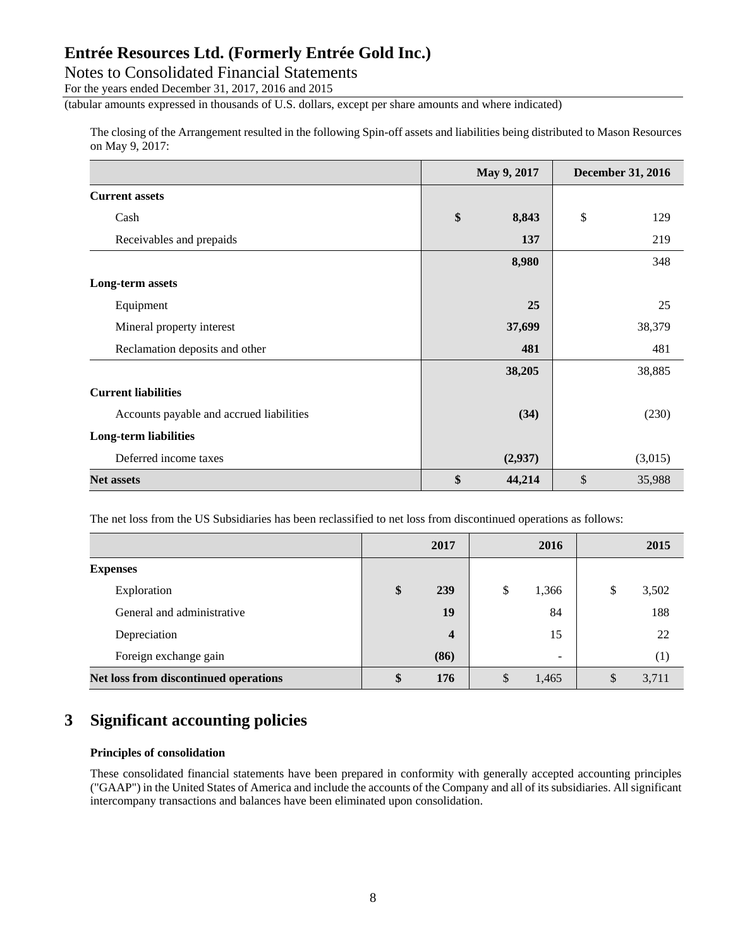Notes to Consolidated Financial Statements

For the years ended December 31, 2017, 2016 and 2015

(tabular amounts expressed in thousands of U.S. dollars, except per share amounts and where indicated)

The closing of the Arrangement resulted in the following Spin-off assets and liabilities being distributed to Mason Resources on May 9, 2017:

|                                          | May 9, 2017  | <b>December 31, 2016</b> |
|------------------------------------------|--------------|--------------------------|
| <b>Current assets</b>                    |              |                          |
| Cash                                     | \$<br>8,843  | \$<br>129                |
| Receivables and prepaids                 | 137          | 219                      |
|                                          | 8,980        | 348                      |
| <b>Long-term</b> assets                  |              |                          |
| Equipment                                | 25           | 25                       |
| Mineral property interest                | 37,699       | 38,379                   |
| Reclamation deposits and other           | 481          | 481                      |
|                                          | 38,205       | 38,885                   |
| <b>Current liabilities</b>               |              |                          |
| Accounts payable and accrued liabilities | (34)         | (230)                    |
| <b>Long-term liabilities</b>             |              |                          |
| Deferred income taxes                    | (2,937)      | (3,015)                  |
| <b>Net assets</b>                        | \$<br>44,214 | \$<br>35,988             |

The net loss from the US Subsidiaries has been reclassified to net loss from discontinued operations as follows:

|                                       | 2017      | 2016        | 2015        |
|---------------------------------------|-----------|-------------|-------------|
| <b>Expenses</b>                       |           |             |             |
| Exploration                           | \$<br>239 | \$<br>1,366 | \$<br>3,502 |
| General and administrative            | 19        | 84          | 188         |
| Depreciation                          | 4         | 15          | 22          |
| Foreign exchange gain                 | (86)      | ۰           | (1)         |
| Net loss from discontinued operations | \$<br>176 | \$<br>1,465 | \$<br>3,711 |

# **3 Significant accounting policies**

#### **Principles of consolidation**

These consolidated financial statements have been prepared in conformity with generally accepted accounting principles ("GAAP") in the United States of America and include the accounts of the Company and all of its subsidiaries. All significant intercompany transactions and balances have been eliminated upon consolidation.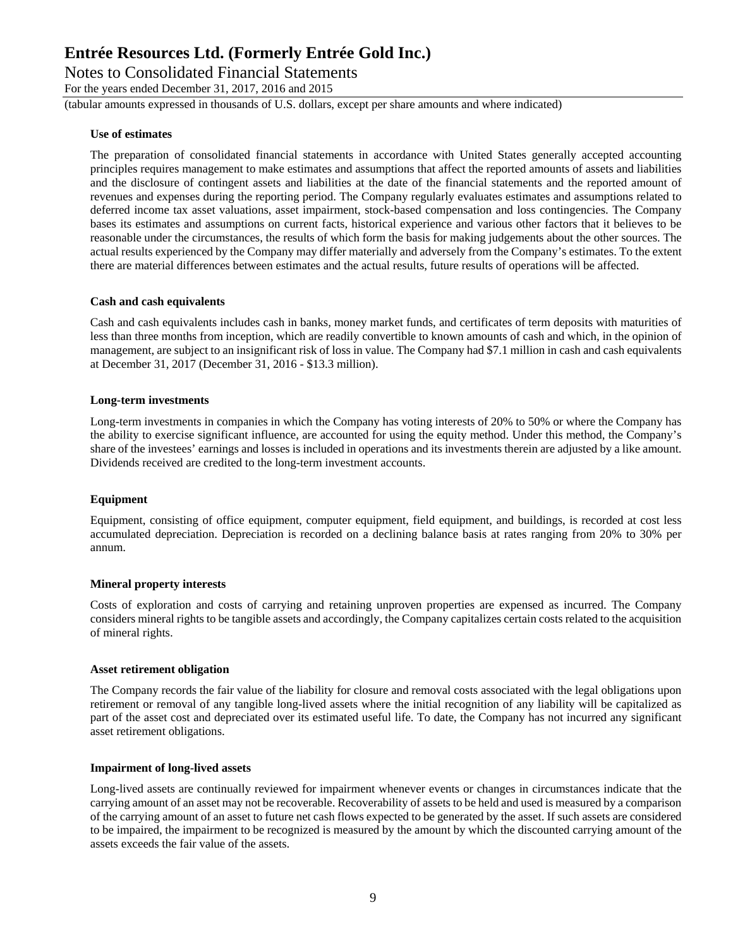Notes to Consolidated Financial Statements

For the years ended December 31, 2017, 2016 and 2015

(tabular amounts expressed in thousands of U.S. dollars, except per share amounts and where indicated)

#### **Use of estimates**

The preparation of consolidated financial statements in accordance with United States generally accepted accounting principles requires management to make estimates and assumptions that affect the reported amounts of assets and liabilities and the disclosure of contingent assets and liabilities at the date of the financial statements and the reported amount of revenues and expenses during the reporting period. The Company regularly evaluates estimates and assumptions related to deferred income tax asset valuations, asset impairment, stock-based compensation and loss contingencies. The Company bases its estimates and assumptions on current facts, historical experience and various other factors that it believes to be reasonable under the circumstances, the results of which form the basis for making judgements about the other sources. The actual results experienced by the Company may differ materially and adversely from the Company's estimates. To the extent there are material differences between estimates and the actual results, future results of operations will be affected.

#### **Cash and cash equivalents**

Cash and cash equivalents includes cash in banks, money market funds, and certificates of term deposits with maturities of less than three months from inception, which are readily convertible to known amounts of cash and which, in the opinion of management, are subject to an insignificant risk of loss in value. The Company had \$7.1 million in cash and cash equivalents at December 31, 2017 (December 31, 2016 - \$13.3 million).

### **Long-term investments**

Long-term investments in companies in which the Company has voting interests of 20% to 50% or where the Company has the ability to exercise significant influence, are accounted for using the equity method. Under this method, the Company's share of the investees' earnings and losses is included in operations and its investments therein are adjusted by a like amount. Dividends received are credited to the long-term investment accounts.

### **Equipment**

Equipment, consisting of office equipment, computer equipment, field equipment, and buildings, is recorded at cost less accumulated depreciation. Depreciation is recorded on a declining balance basis at rates ranging from 20% to 30% per annum.

#### **Mineral property interests**

Costs of exploration and costs of carrying and retaining unproven properties are expensed as incurred. The Company considers mineral rights to be tangible assets and accordingly, the Company capitalizes certain costs related to the acquisition of mineral rights.

#### **Asset retirement obligation**

The Company records the fair value of the liability for closure and removal costs associated with the legal obligations upon retirement or removal of any tangible long-lived assets where the initial recognition of any liability will be capitalized as part of the asset cost and depreciated over its estimated useful life. To date, the Company has not incurred any significant asset retirement obligations.

#### **Impairment of long-lived assets**

Long-lived assets are continually reviewed for impairment whenever events or changes in circumstances indicate that the carrying amount of an asset may not be recoverable. Recoverability of assets to be held and used is measured by a comparison of the carrying amount of an asset to future net cash flows expected to be generated by the asset. If such assets are considered to be impaired, the impairment to be recognized is measured by the amount by which the discounted carrying amount of the assets exceeds the fair value of the assets.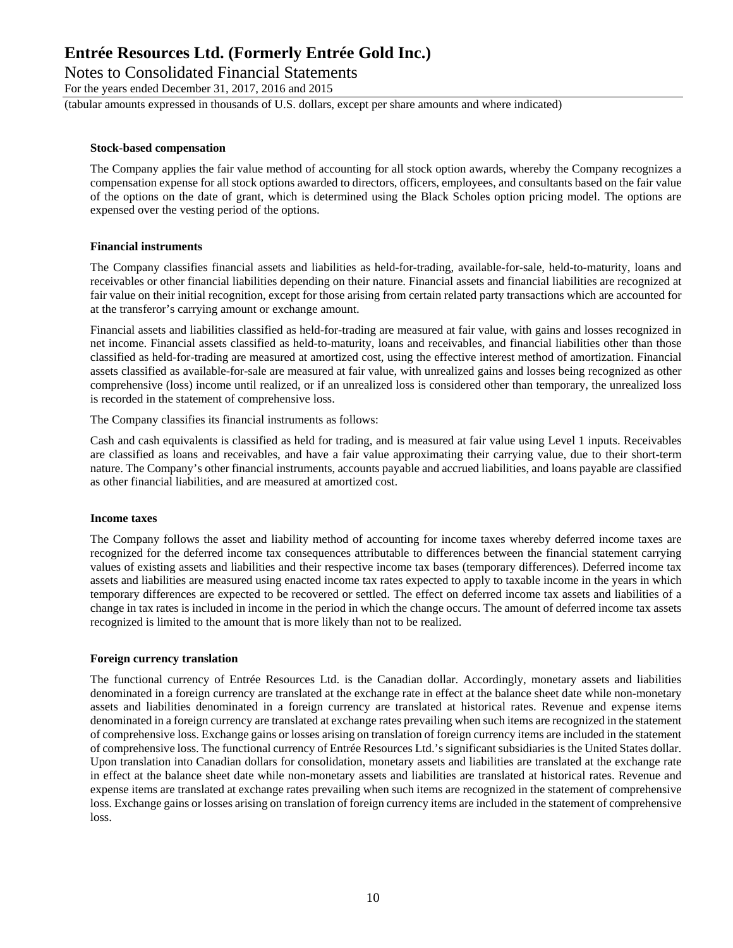Notes to Consolidated Financial Statements

For the years ended December 31, 2017, 2016 and 2015

(tabular amounts expressed in thousands of U.S. dollars, except per share amounts and where indicated)

#### **Stock-based compensation**

The Company applies the fair value method of accounting for all stock option awards, whereby the Company recognizes a compensation expense for all stock options awarded to directors, officers, employees, and consultants based on the fair value of the options on the date of grant, which is determined using the Black Scholes option pricing model. The options are expensed over the vesting period of the options.

#### **Financial instruments**

The Company classifies financial assets and liabilities as held-for-trading, available-for-sale, held-to-maturity, loans and receivables or other financial liabilities depending on their nature. Financial assets and financial liabilities are recognized at fair value on their initial recognition, except for those arising from certain related party transactions which are accounted for at the transferor's carrying amount or exchange amount.

Financial assets and liabilities classified as held-for-trading are measured at fair value, with gains and losses recognized in net income. Financial assets classified as held-to-maturity, loans and receivables, and financial liabilities other than those classified as held-for-trading are measured at amortized cost, using the effective interest method of amortization. Financial assets classified as available-for-sale are measured at fair value, with unrealized gains and losses being recognized as other comprehensive (loss) income until realized, or if an unrealized loss is considered other than temporary, the unrealized loss is recorded in the statement of comprehensive loss.

The Company classifies its financial instruments as follows:

Cash and cash equivalents is classified as held for trading, and is measured at fair value using Level 1 inputs. Receivables are classified as loans and receivables, and have a fair value approximating their carrying value, due to their short-term nature. The Company's other financial instruments, accounts payable and accrued liabilities, and loans payable are classified as other financial liabilities, and are measured at amortized cost.

#### **Income taxes**

The Company follows the asset and liability method of accounting for income taxes whereby deferred income taxes are recognized for the deferred income tax consequences attributable to differences between the financial statement carrying values of existing assets and liabilities and their respective income tax bases (temporary differences). Deferred income tax assets and liabilities are measured using enacted income tax rates expected to apply to taxable income in the years in which temporary differences are expected to be recovered or settled. The effect on deferred income tax assets and liabilities of a change in tax rates is included in income in the period in which the change occurs. The amount of deferred income tax assets recognized is limited to the amount that is more likely than not to be realized.

#### **Foreign currency translation**

The functional currency of Entrée Resources Ltd. is the Canadian dollar. Accordingly, monetary assets and liabilities denominated in a foreign currency are translated at the exchange rate in effect at the balance sheet date while non-monetary assets and liabilities denominated in a foreign currency are translated at historical rates. Revenue and expense items denominated in a foreign currency are translated at exchange rates prevailing when such items are recognized in the statement of comprehensive loss. Exchange gains or losses arising on translation of foreign currency items are included in the statement of comprehensive loss. The functional currency of Entrée Resources Ltd.'s significant subsidiaries is the United States dollar. Upon translation into Canadian dollars for consolidation, monetary assets and liabilities are translated at the exchange rate in effect at the balance sheet date while non-monetary assets and liabilities are translated at historical rates. Revenue and expense items are translated at exchange rates prevailing when such items are recognized in the statement of comprehensive loss. Exchange gains or losses arising on translation of foreign currency items are included in the statement of comprehensive loss.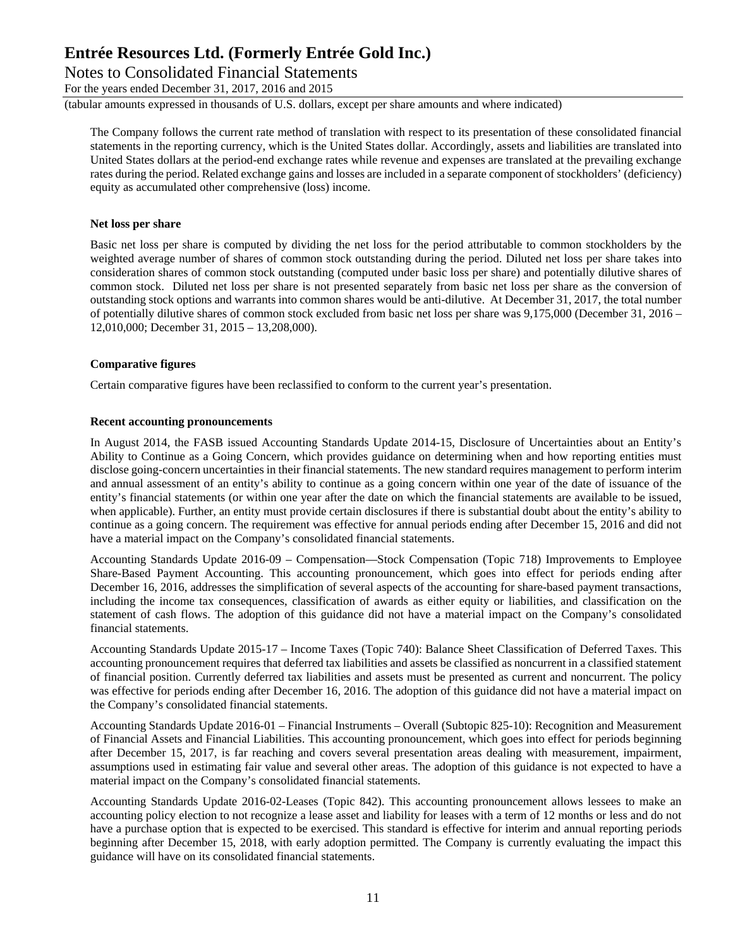Notes to Consolidated Financial Statements

For the years ended December 31, 2017, 2016 and 2015

(tabular amounts expressed in thousands of U.S. dollars, except per share amounts and where indicated)

The Company follows the current rate method of translation with respect to its presentation of these consolidated financial statements in the reporting currency, which is the United States dollar. Accordingly, assets and liabilities are translated into United States dollars at the period-end exchange rates while revenue and expenses are translated at the prevailing exchange rates during the period. Related exchange gains and losses are included in a separate component of stockholders' (deficiency) equity as accumulated other comprehensive (loss) income.

#### **Net loss per share**

Basic net loss per share is computed by dividing the net loss for the period attributable to common stockholders by the weighted average number of shares of common stock outstanding during the period. Diluted net loss per share takes into consideration shares of common stock outstanding (computed under basic loss per share) and potentially dilutive shares of common stock. Diluted net loss per share is not presented separately from basic net loss per share as the conversion of outstanding stock options and warrants into common shares would be anti-dilutive. At December 31, 2017, the total number of potentially dilutive shares of common stock excluded from basic net loss per share was 9,175,000 (December 31, 2016 – 12,010,000; December 31, 2015 – 13,208,000).

### **Comparative figures**

Certain comparative figures have been reclassified to conform to the current year's presentation.

### **Recent accounting pronouncements**

In August 2014, the FASB issued Accounting Standards Update 2014-15, Disclosure of Uncertainties about an Entity's Ability to Continue as a Going Concern, which provides guidance on determining when and how reporting entities must disclose going-concern uncertainties in their financial statements. The new standard requires management to perform interim and annual assessment of an entity's ability to continue as a going concern within one year of the date of issuance of the entity's financial statements (or within one year after the date on which the financial statements are available to be issued, when applicable). Further, an entity must provide certain disclosures if there is substantial doubt about the entity's ability to continue as a going concern. The requirement was effective for annual periods ending after December 15, 2016 and did not have a material impact on the Company's consolidated financial statements.

Accounting Standards Update 2016-09 – Compensation—Stock Compensation (Topic 718) Improvements to Employee Share-Based Payment Accounting. This accounting pronouncement, which goes into effect for periods ending after December 16, 2016, addresses the simplification of several aspects of the accounting for share-based payment transactions, including the income tax consequences, classification of awards as either equity or liabilities, and classification on the statement of cash flows. The adoption of this guidance did not have a material impact on the Company's consolidated financial statements.

Accounting Standards Update 2015-17 – Income Taxes (Topic 740): Balance Sheet Classification of Deferred Taxes. This accounting pronouncement requires that deferred tax liabilities and assets be classified as noncurrent in a classified statement of financial position. Currently deferred tax liabilities and assets must be presented as current and noncurrent. The policy was effective for periods ending after December 16, 2016. The adoption of this guidance did not have a material impact on the Company's consolidated financial statements.

Accounting Standards Update 2016-01 – Financial Instruments – Overall (Subtopic 825-10): Recognition and Measurement of Financial Assets and Financial Liabilities. This accounting pronouncement, which goes into effect for periods beginning after December 15, 2017, is far reaching and covers several presentation areas dealing with measurement, impairment, assumptions used in estimating fair value and several other areas. The adoption of this guidance is not expected to have a material impact on the Company's consolidated financial statements.

Accounting Standards Update 2016-02-Leases (Topic 842). This accounting pronouncement allows lessees to make an accounting policy election to not recognize a lease asset and liability for leases with a term of 12 months or less and do not have a purchase option that is expected to be exercised. This standard is effective for interim and annual reporting periods beginning after December 15, 2018, with early adoption permitted. The Company is currently evaluating the impact this guidance will have on its consolidated financial statements.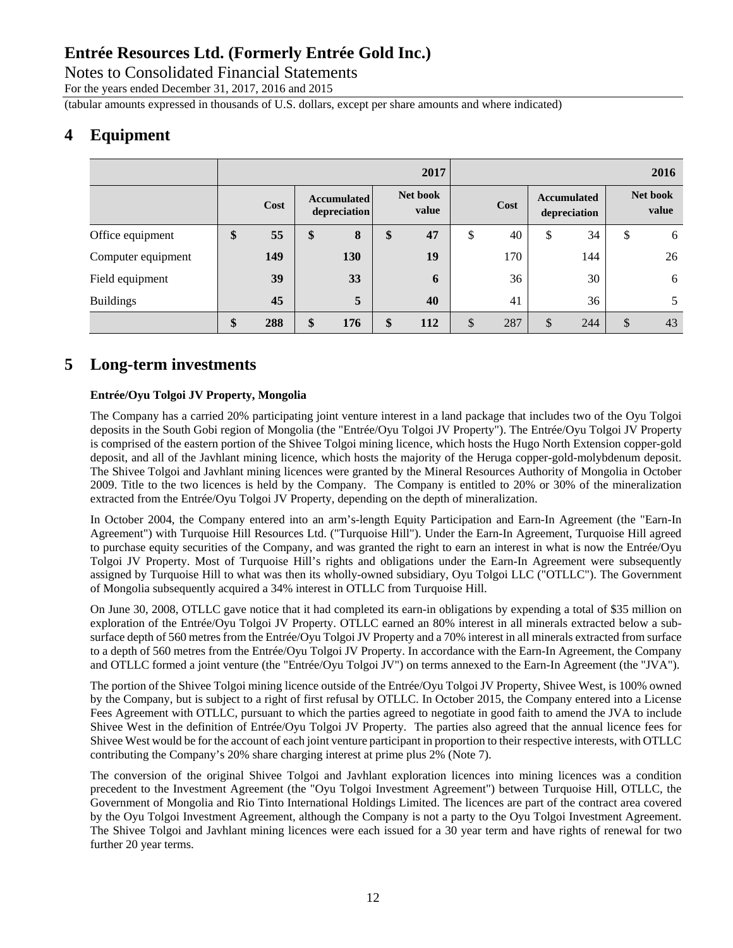Notes to Consolidated Financial Statements

For the years ended December 31, 2017, 2016 and 2015

(tabular amounts expressed in thousands of U.S. dollars, except per share amounts and where indicated)

# **4 Equipment**

|                    | 2017 |      |    |                                    |    |                   |    |      |                             |                           | 2016              |
|--------------------|------|------|----|------------------------------------|----|-------------------|----|------|-----------------------------|---------------------------|-------------------|
|                    |      | Cost |    | <b>Accumulated</b><br>depreciation |    | Net book<br>value |    | Cost | Accumulated<br>depreciation |                           | Net book<br>value |
| Office equipment   | \$   | 55   | \$ | $\bf{8}$                           | \$ | 47                | \$ | 40   | \$<br>34                    | $\boldsymbol{\mathsf{S}}$ | 6                 |
| Computer equipment |      | 149  |    | 130                                |    | 19                |    | 170  | 144                         |                           | 26                |
| Field equipment    |      | 39   |    | 33                                 |    | 6                 |    | 36   | 30                          |                           | 6                 |
| <b>Buildings</b>   |      | 45   |    | 5                                  |    | 40                |    | 41   | 36                          |                           | 5                 |
|                    | \$   | 288  | \$ | 176                                | \$ | 112               | \$ | 287  | \$<br>244                   | \$                        | 43                |

### **5 Long-term investments**

### **Entrée/Oyu Tolgoi JV Property, Mongolia**

The Company has a carried 20% participating joint venture interest in a land package that includes two of the Oyu Tolgoi deposits in the South Gobi region of Mongolia (the "Entrée/Oyu Tolgoi JV Property"). The Entrée/Oyu Tolgoi JV Property is comprised of the eastern portion of the Shivee Tolgoi mining licence, which hosts the Hugo North Extension copper-gold deposit, and all of the Javhlant mining licence, which hosts the majority of the Heruga copper-gold-molybdenum deposit. The Shivee Tolgoi and Javhlant mining licences were granted by the Mineral Resources Authority of Mongolia in October 2009. Title to the two licences is held by the Company. The Company is entitled to 20% or 30% of the mineralization extracted from the Entrée/Oyu Tolgoi JV Property, depending on the depth of mineralization.

In October 2004, the Company entered into an arm's-length Equity Participation and Earn-In Agreement (the "Earn-In Agreement") with Turquoise Hill Resources Ltd. ("Turquoise Hill"). Under the Earn-In Agreement, Turquoise Hill agreed to purchase equity securities of the Company, and was granted the right to earn an interest in what is now the Entrée/Oyu Tolgoi JV Property. Most of Turquoise Hill's rights and obligations under the Earn-In Agreement were subsequently assigned by Turquoise Hill to what was then its wholly-owned subsidiary, Oyu Tolgoi LLC ("OTLLC"). The Government of Mongolia subsequently acquired a 34% interest in OTLLC from Turquoise Hill.

On June 30, 2008, OTLLC gave notice that it had completed its earn-in obligations by expending a total of \$35 million on exploration of the Entrée/Oyu Tolgoi JV Property. OTLLC earned an 80% interest in all minerals extracted below a subsurface depth of 560 metres from the Entrée/Oyu Tolgoi JV Property and a 70% interest in all minerals extracted from surface to a depth of 560 metres from the Entrée/Oyu Tolgoi JV Property. In accordance with the Earn-In Agreement, the Company and OTLLC formed a joint venture (the "Entrée/Oyu Tolgoi JV") on terms annexed to the Earn-In Agreement (the "JVA").

The portion of the Shivee Tolgoi mining licence outside of the Entrée/Oyu Tolgoi JV Property, Shivee West, is 100% owned by the Company, but is subject to a right of first refusal by OTLLC. In October 2015, the Company entered into a License Fees Agreement with OTLLC, pursuant to which the parties agreed to negotiate in good faith to amend the JVA to include Shivee West in the definition of Entrée/Oyu Tolgoi JV Property. The parties also agreed that the annual licence fees for Shivee West would be for the account of each joint venture participant in proportion to their respective interests, with OTLLC contributing the Company's 20% share charging interest at prime plus 2% (Note 7).

The conversion of the original Shivee Tolgoi and Javhlant exploration licences into mining licences was a condition precedent to the Investment Agreement (the "Oyu Tolgoi Investment Agreement") between Turquoise Hill, OTLLC, the Government of Mongolia and Rio Tinto International Holdings Limited. The licences are part of the contract area covered by the Oyu Tolgoi Investment Agreement, although the Company is not a party to the Oyu Tolgoi Investment Agreement. The Shivee Tolgoi and Javhlant mining licences were each issued for a 30 year term and have rights of renewal for two further 20 year terms.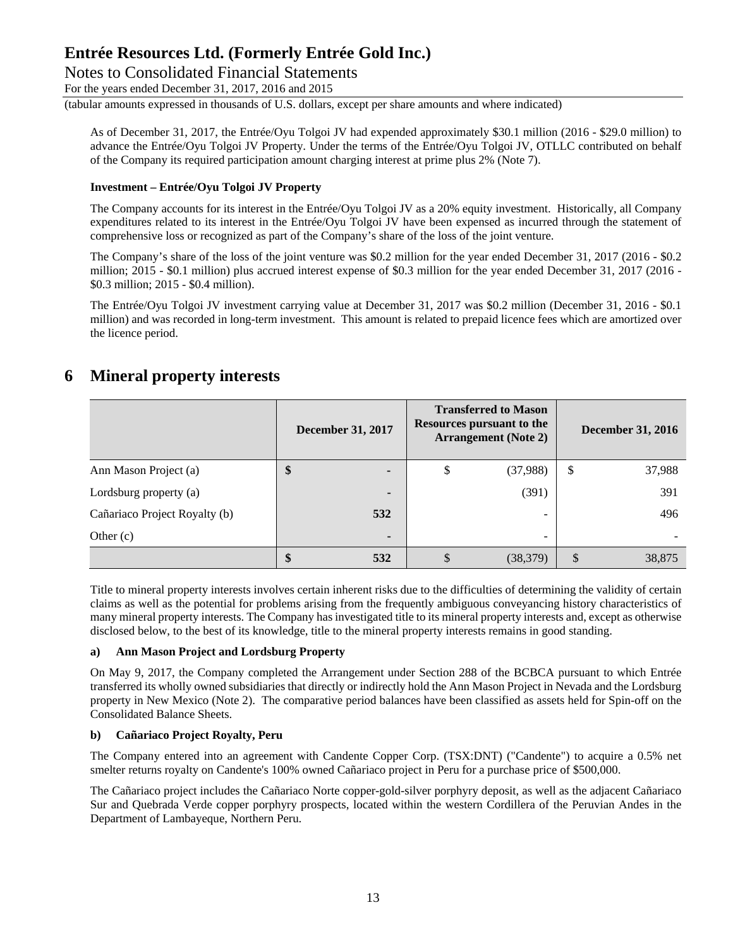Notes to Consolidated Financial Statements

For the years ended December 31, 2017, 2016 and 2015

(tabular amounts expressed in thousands of U.S. dollars, except per share amounts and where indicated)

As of December 31, 2017, the Entrée/Oyu Tolgoi JV had expended approximately \$30.1 million (2016 - \$29.0 million) to advance the Entrée/Oyu Tolgoi JV Property. Under the terms of the Entrée/Oyu Tolgoi JV, OTLLC contributed on behalf of the Company its required participation amount charging interest at prime plus 2% (Note 7).

### **Investment – Entrée/Oyu Tolgoi JV Property**

The Company accounts for its interest in the Entrée/Oyu Tolgoi JV as a 20% equity investment. Historically, all Company expenditures related to its interest in the Entrée/Oyu Tolgoi JV have been expensed as incurred through the statement of comprehensive loss or recognized as part of the Company's share of the loss of the joint venture.

The Company's share of the loss of the joint venture was \$0.2 million for the year ended December 31, 2017 (2016 - \$0.2 million; 2015 - \$0.1 million) plus accrued interest expense of \$0.3 million for the year ended December 31, 2017 (2016 - \$0.3 million; 2015 - \$0.4 million).

The Entrée/Oyu Tolgoi JV investment carrying value at December 31, 2017 was \$0.2 million (December 31, 2016 - \$0.1 million) and was recorded in long-term investment. This amount is related to prepaid licence fees which are amortized over the licence period.

### **6 Mineral property interests**

|                               |   | <b>December 31, 2017</b> | <b>Transferred to Mason</b><br>Resources pursuant to the<br><b>Arrangement</b> (Note 2) | <b>December 31, 2016</b> |
|-------------------------------|---|--------------------------|-----------------------------------------------------------------------------------------|--------------------------|
| Ann Mason Project (a)         | Φ |                          | \$<br>(37,988)                                                                          | \$<br>37,988             |
| Lordsburg property (a)        |   |                          | (391)                                                                                   | 391                      |
| Cañariaco Project Royalty (b) |   | 532                      |                                                                                         | 496                      |
| Other $(c)$                   |   |                          | -                                                                                       |                          |
|                               | Φ | 532                      | (38, 379)                                                                               | \$<br>38,875             |

Title to mineral property interests involves certain inherent risks due to the difficulties of determining the validity of certain claims as well as the potential for problems arising from the frequently ambiguous conveyancing history characteristics of many mineral property interests. The Company has investigated title to its mineral property interests and, except as otherwise disclosed below, to the best of its knowledge, title to the mineral property interests remains in good standing.

#### **a) Ann Mason Project and Lordsburg Property**

On May 9, 2017, the Company completed the Arrangement under Section 288 of the BCBCA pursuant to which Entrée transferred its wholly owned subsidiaries that directly or indirectly hold the Ann Mason Project in Nevada and the Lordsburg property in New Mexico (Note 2). The comparative period balances have been classified as assets held for Spin-off on the Consolidated Balance Sheets.

#### **b) Cañariaco Project Royalty, Peru**

The Company entered into an agreement with Candente Copper Corp. (TSX:DNT) ("Candente") to acquire a 0.5% net smelter returns royalty on Candente's 100% owned Cañariaco project in Peru for a purchase price of \$500,000.

The Cañariaco project includes the Cañariaco Norte copper-gold-silver porphyry deposit, as well as the adjacent Cañariaco Sur and Quebrada Verde copper porphyry prospects, located within the western Cordillera of the Peruvian Andes in the Department of Lambayeque, Northern Peru.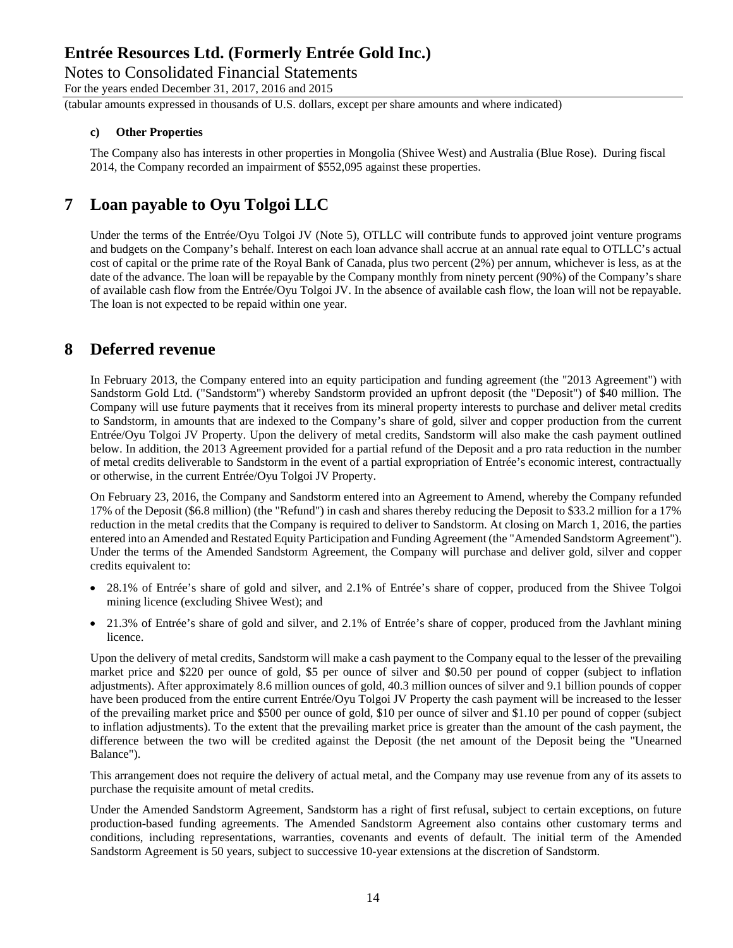Notes to Consolidated Financial Statements

For the years ended December 31, 2017, 2016 and 2015

(tabular amounts expressed in thousands of U.S. dollars, except per share amounts and where indicated)

#### **c) Other Properties**

The Company also has interests in other properties in Mongolia (Shivee West) and Australia (Blue Rose). During fiscal 2014, the Company recorded an impairment of \$552,095 against these properties.

### **7 Loan payable to Oyu Tolgoi LLC**

Under the terms of the Entrée/Oyu Tolgoi JV (Note 5), OTLLC will contribute funds to approved joint venture programs and budgets on the Company's behalf. Interest on each loan advance shall accrue at an annual rate equal to OTLLC's actual cost of capital or the prime rate of the Royal Bank of Canada, plus two percent (2%) per annum, whichever is less, as at the date of the advance. The loan will be repayable by the Company monthly from ninety percent (90%) of the Company's share of available cash flow from the Entrée/Oyu Tolgoi JV. In the absence of available cash flow, the loan will not be repayable. The loan is not expected to be repaid within one year.

### **8 Deferred revenue**

In February 2013, the Company entered into an equity participation and funding agreement (the "2013 Agreement") with Sandstorm Gold Ltd. ("Sandstorm") whereby Sandstorm provided an upfront deposit (the "Deposit") of \$40 million. The Company will use future payments that it receives from its mineral property interests to purchase and deliver metal credits to Sandstorm, in amounts that are indexed to the Company's share of gold, silver and copper production from the current Entrée/Oyu Tolgoi JV Property. Upon the delivery of metal credits, Sandstorm will also make the cash payment outlined below. In addition, the 2013 Agreement provided for a partial refund of the Deposit and a pro rata reduction in the number of metal credits deliverable to Sandstorm in the event of a partial expropriation of Entrée's economic interest, contractually or otherwise, in the current Entrée/Oyu Tolgoi JV Property.

On February 23, 2016, the Company and Sandstorm entered into an Agreement to Amend, whereby the Company refunded 17% of the Deposit (\$6.8 million) (the "Refund") in cash and shares thereby reducing the Deposit to \$33.2 million for a 17% reduction in the metal credits that the Company is required to deliver to Sandstorm. At closing on March 1, 2016, the parties entered into an Amended and Restated Equity Participation and Funding Agreement (the "Amended Sandstorm Agreement"). Under the terms of the Amended Sandstorm Agreement, the Company will purchase and deliver gold, silver and copper credits equivalent to:

- 28.1% of Entrée's share of gold and silver, and 2.1% of Entrée's share of copper, produced from the Shivee Tolgoi mining licence (excluding Shivee West); and
- 21.3% of Entrée's share of gold and silver, and 2.1% of Entrée's share of copper, produced from the Javhlant mining licence.

Upon the delivery of metal credits, Sandstorm will make a cash payment to the Company equal to the lesser of the prevailing market price and \$220 per ounce of gold, \$5 per ounce of silver and \$0.50 per pound of copper (subject to inflation adjustments). After approximately 8.6 million ounces of gold, 40.3 million ounces of silver and 9.1 billion pounds of copper have been produced from the entire current Entrée/Oyu Tolgoi JV Property the cash payment will be increased to the lesser of the prevailing market price and \$500 per ounce of gold, \$10 per ounce of silver and \$1.10 per pound of copper (subject to inflation adjustments). To the extent that the prevailing market price is greater than the amount of the cash payment, the difference between the two will be credited against the Deposit (the net amount of the Deposit being the "Unearned Balance").

This arrangement does not require the delivery of actual metal, and the Company may use revenue from any of its assets to purchase the requisite amount of metal credits.

Under the Amended Sandstorm Agreement, Sandstorm has a right of first refusal, subject to certain exceptions, on future production-based funding agreements. The Amended Sandstorm Agreement also contains other customary terms and conditions, including representations, warranties, covenants and events of default. The initial term of the Amended Sandstorm Agreement is 50 years, subject to successive 10-year extensions at the discretion of Sandstorm.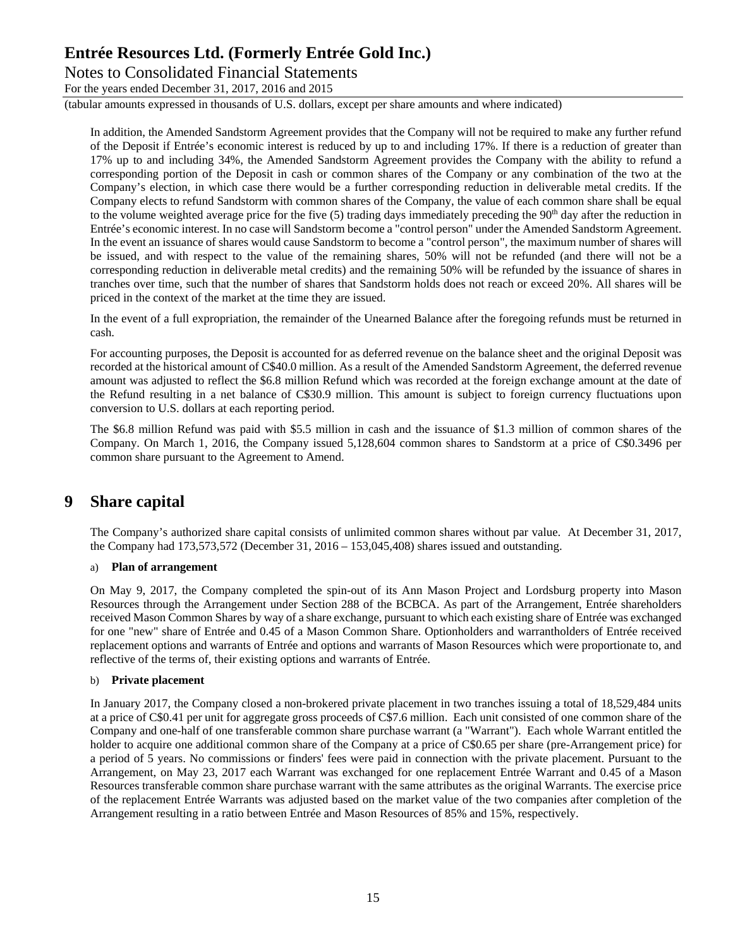Notes to Consolidated Financial Statements

For the years ended December 31, 2017, 2016 and 2015

(tabular amounts expressed in thousands of U.S. dollars, except per share amounts and where indicated)

In addition, the Amended Sandstorm Agreement provides that the Company will not be required to make any further refund of the Deposit if Entrée's economic interest is reduced by up to and including 17%. If there is a reduction of greater than 17% up to and including 34%, the Amended Sandstorm Agreement provides the Company with the ability to refund a corresponding portion of the Deposit in cash or common shares of the Company or any combination of the two at the Company's election, in which case there would be a further corresponding reduction in deliverable metal credits. If the Company elects to refund Sandstorm with common shares of the Company, the value of each common share shall be equal to the volume weighted average price for the five  $(5)$  trading days immediately preceding the 90<sup>th</sup> day after the reduction in Entrée's economic interest. In no case will Sandstorm become a "control person" under the Amended Sandstorm Agreement. In the event an issuance of shares would cause Sandstorm to become a "control person", the maximum number of shares will be issued, and with respect to the value of the remaining shares, 50% will not be refunded (and there will not be a corresponding reduction in deliverable metal credits) and the remaining 50% will be refunded by the issuance of shares in tranches over time, such that the number of shares that Sandstorm holds does not reach or exceed 20%. All shares will be priced in the context of the market at the time they are issued.

In the event of a full expropriation, the remainder of the Unearned Balance after the foregoing refunds must be returned in cash.

For accounting purposes, the Deposit is accounted for as deferred revenue on the balance sheet and the original Deposit was recorded at the historical amount of C\$40.0 million. As a result of the Amended Sandstorm Agreement, the deferred revenue amount was adjusted to reflect the \$6.8 million Refund which was recorded at the foreign exchange amount at the date of the Refund resulting in a net balance of C\$30.9 million. This amount is subject to foreign currency fluctuations upon conversion to U.S. dollars at each reporting period.

The \$6.8 million Refund was paid with \$5.5 million in cash and the issuance of \$1.3 million of common shares of the Company. On March 1, 2016, the Company issued 5,128,604 common shares to Sandstorm at a price of C\$0.3496 per common share pursuant to the Agreement to Amend.

### **9 Share capital**

The Company's authorized share capital consists of unlimited common shares without par value. At December 31, 2017, the Company had 173,573,572 (December 31, 2016 – 153,045,408) shares issued and outstanding.

#### a) **Plan of arrangement**

On May 9, 2017, the Company completed the spin-out of its Ann Mason Project and Lordsburg property into Mason Resources through the Arrangement under Section 288 of the BCBCA. As part of the Arrangement, Entrée shareholders received Mason Common Shares by way of a share exchange, pursuant to which each existing share of Entrée was exchanged for one "new" share of Entrée and 0.45 of a Mason Common Share. Optionholders and warrantholders of Entrée received replacement options and warrants of Entrée and options and warrants of Mason Resources which were proportionate to, and reflective of the terms of, their existing options and warrants of Entrée.

#### b) **Private placement**

In January 2017, the Company closed a non-brokered private placement in two tranches issuing a total of 18,529,484 units at a price of C\$0.41 per unit for aggregate gross proceeds of C\$7.6 million. Each unit consisted of one common share of the Company and one-half of one transferable common share purchase warrant (a "Warrant"). Each whole Warrant entitled the holder to acquire one additional common share of the Company at a price of C\$0.65 per share (pre-Arrangement price) for a period of 5 years. No commissions or finders' fees were paid in connection with the private placement. Pursuant to the Arrangement, on May 23, 2017 each Warrant was exchanged for one replacement Entrée Warrant and 0.45 of a Mason Resources transferable common share purchase warrant with the same attributes as the original Warrants. The exercise price of the replacement Entrée Warrants was adjusted based on the market value of the two companies after completion of the Arrangement resulting in a ratio between Entrée and Mason Resources of 85% and 15%, respectively.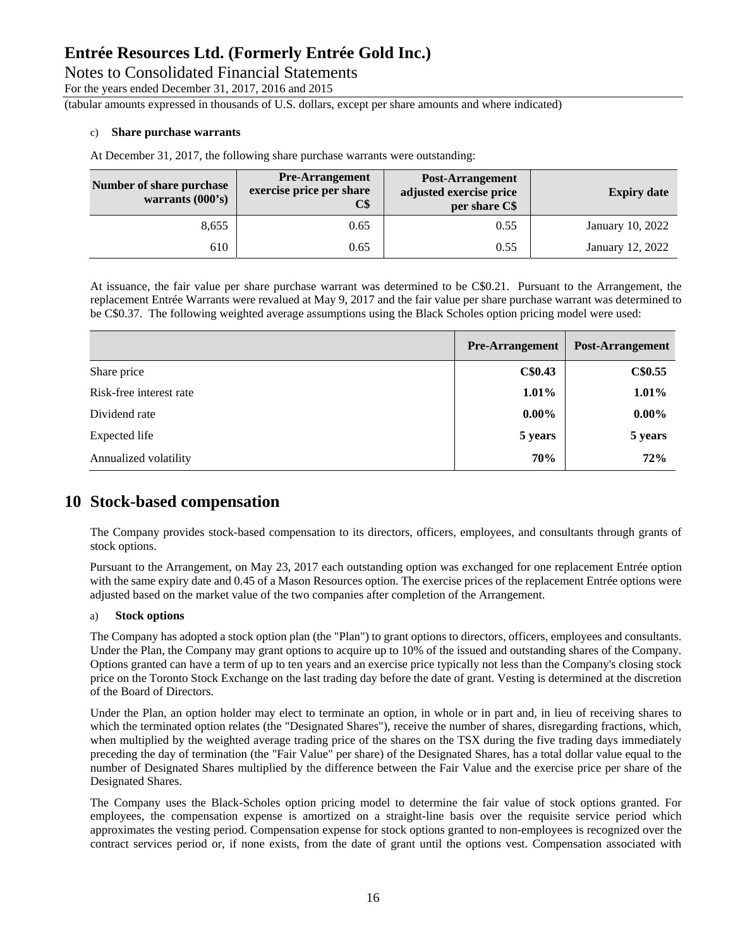### Notes to Consolidated Financial Statements

For the years ended December 31, 2017, 2016 and 2015

(tabular amounts expressed in thousands of U.S. dollars, except per share amounts and where indicated)

#### c) **Share purchase warrants**

At December 31, 2017, the following share purchase warrants were outstanding:

| Number of share purchase<br>warrants $(000's)$ | <b>Pre-Arrangement</b><br>exercise price per share<br>$\mathbf{C}\$$ | <b>Post-Arrangement</b><br>adjusted exercise price<br>per share C\$ | <b>Expiry date</b> |
|------------------------------------------------|----------------------------------------------------------------------|---------------------------------------------------------------------|--------------------|
| 8,655                                          | 0.65                                                                 | 0.55                                                                | January 10, 2022   |
| 610                                            | 0.65                                                                 | 0.55                                                                | January 12, 2022   |

At issuance, the fair value per share purchase warrant was determined to be C\$0.21. Pursuant to the Arrangement, the replacement Entrée Warrants were revalued at May 9, 2017 and the fair value per share purchase warrant was determined to be C\$0.37. The following weighted average assumptions using the Black Scholes option pricing model were used:

|                         | <b>Pre-Arrangement</b> | <b>Post-Arrangement</b> |
|-------------------------|------------------------|-------------------------|
| Share price             | C\$0.43                | C\$0.55                 |
| Risk-free interest rate | $1.01\%$               | 1.01%                   |
| Dividend rate           | $0.00\%$               | $0.00\%$                |
| Expected life           | 5 years                | 5 years                 |
| Annualized volatility   | 70%                    | 72%                     |

### **10 Stock-based compensation**

The Company provides stock-based compensation to its directors, officers, employees, and consultants through grants of stock options.

Pursuant to the Arrangement, on May 23, 2017 each outstanding option was exchanged for one replacement Entrée option with the same expiry date and 0.45 of a Mason Resources option. The exercise prices of the replacement Entrée options were adjusted based on the market value of the two companies after completion of the Arrangement.

#### a) **Stock options**

The Company has adopted a stock option plan (the "Plan") to grant options to directors, officers, employees and consultants. Under the Plan, the Company may grant options to acquire up to 10% of the issued and outstanding shares of the Company. Options granted can have a term of up to ten years and an exercise price typically not less than the Company's closing stock price on the Toronto Stock Exchange on the last trading day before the date of grant. Vesting is determined at the discretion of the Board of Directors.

Under the Plan, an option holder may elect to terminate an option, in whole or in part and, in lieu of receiving shares to which the terminated option relates (the "Designated Shares"), receive the number of shares, disregarding fractions, which, when multiplied by the weighted average trading price of the shares on the TSX during the five trading days immediately preceding the day of termination (the "Fair Value" per share) of the Designated Shares, has a total dollar value equal to the number of Designated Shares multiplied by the difference between the Fair Value and the exercise price per share of the Designated Shares.

The Company uses the Black-Scholes option pricing model to determine the fair value of stock options granted. For employees, the compensation expense is amortized on a straight-line basis over the requisite service period which approximates the vesting period. Compensation expense for stock options granted to non-employees is recognized over the contract services period or, if none exists, from the date of grant until the options vest. Compensation associated with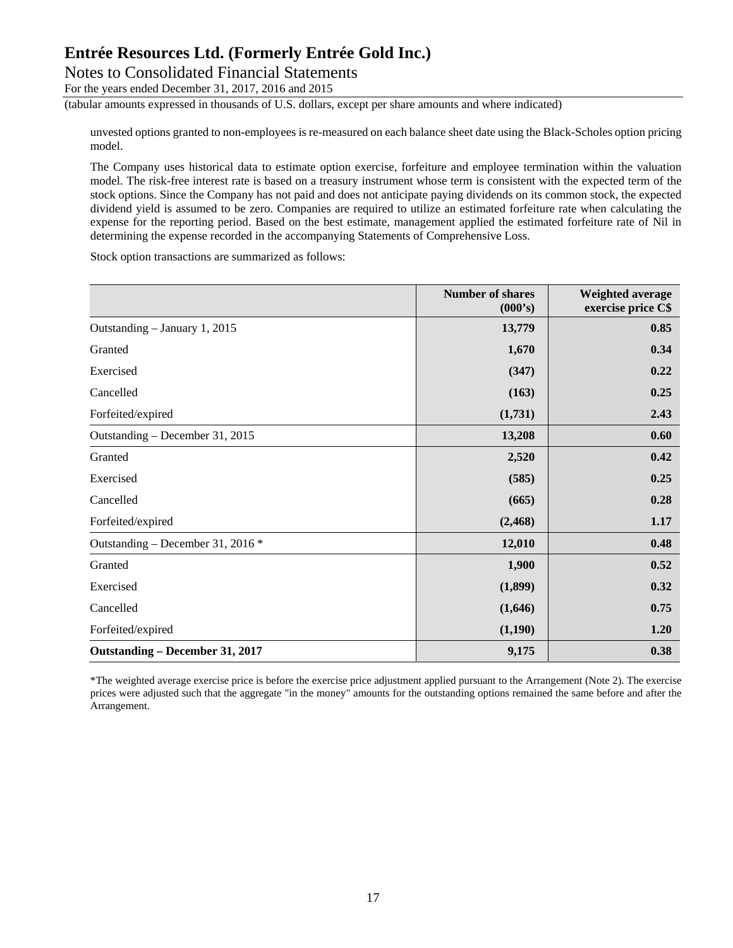Notes to Consolidated Financial Statements

For the years ended December 31, 2017, 2016 and 2015

(tabular amounts expressed in thousands of U.S. dollars, except per share amounts and where indicated)

unvested options granted to non-employees is re-measured on each balance sheet date using the Black-Scholes option pricing model.

The Company uses historical data to estimate option exercise, forfeiture and employee termination within the valuation model. The risk-free interest rate is based on a treasury instrument whose term is consistent with the expected term of the stock options. Since the Company has not paid and does not anticipate paying dividends on its common stock, the expected dividend yield is assumed to be zero. Companies are required to utilize an estimated forfeiture rate when calculating the expense for the reporting period. Based on the best estimate, management applied the estimated forfeiture rate of Nil in determining the expense recorded in the accompanying Statements of Comprehensive Loss.

Stock option transactions are summarized as follows:

|                                   | <b>Number of shares</b><br>(000's) | Weighted average<br>exercise price C\$ |
|-----------------------------------|------------------------------------|----------------------------------------|
| Outstanding - January 1, 2015     | 13,779                             | 0.85                                   |
| Granted                           | 1,670                              | 0.34                                   |
| Exercised                         | (347)                              | 0.22                                   |
| Cancelled                         | (163)                              | 0.25                                   |
| Forfeited/expired                 | (1,731)                            | 2.43                                   |
| Outstanding - December 31, 2015   | 13,208                             | 0.60                                   |
| Granted                           | 2,520                              | 0.42                                   |
| Exercised                         | (585)                              | 0.25                                   |
| Cancelled                         | (665)                              | 0.28                                   |
| Forfeited/expired                 | (2, 468)                           | 1.17                                   |
| Outstanding – December 31, 2016 * | 12,010                             | 0.48                                   |
| Granted                           | 1,900                              | 0.52                                   |
| Exercised                         | (1,899)                            | 0.32                                   |
| Cancelled                         | (1,646)                            | 0.75                                   |
| Forfeited/expired                 | (1,190)                            | 1.20                                   |
| Outstanding - December 31, 2017   | 9,175                              | 0.38                                   |

\*The weighted average exercise price is before the exercise price adjustment applied pursuant to the Arrangement (Note 2). The exercise prices were adjusted such that the aggregate "in the money" amounts for the outstanding options remained the same before and after the Arrangement.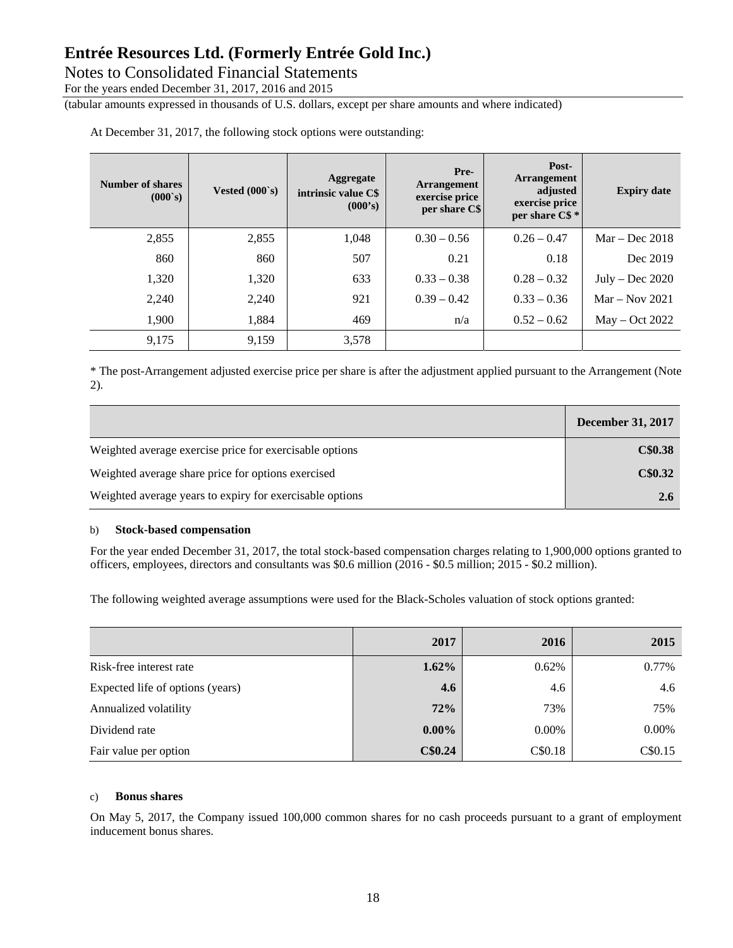Notes to Consolidated Financial Statements

For the years ended December 31, 2017, 2016 and 2015

(tabular amounts expressed in thousands of U.S. dollars, except per share amounts and where indicated)

| Number of shares<br>(000 <sup>°</sup> s) | Vested $(000's)$ | <b>Aggregate</b><br>intrinsic value C\$<br>(000's) | Pre-<br><b>Arrangement</b><br>exercise price<br>per share C\$ | Post-<br><b>Arrangement</b><br>adjusted<br>exercise price<br>per share C\$ * | <b>Expiry date</b>              |
|------------------------------------------|------------------|----------------------------------------------------|---------------------------------------------------------------|------------------------------------------------------------------------------|---------------------------------|
| 2,855                                    | 2,855            | 1,048                                              | $0.30 - 0.56$                                                 | $0.26 - 0.47$                                                                | $Mar - Dec 2018$                |
| 860                                      | 860              | 507                                                | 0.21                                                          | 0.18                                                                         | Dec 2019                        |
| 1.320                                    | 1,320            | 633                                                | $0.33 - 0.38$                                                 | $0.28 - 0.32$                                                                | $July - Dec 2020$               |
| 2,240                                    | 2,240            | 921                                                | $0.39 - 0.42$                                                 | $0.33 - 0.36$                                                                | $Mar - Nov 2021$                |
| 1,900                                    | 1,884            | 469                                                | n/a                                                           | $0.52 - 0.62$                                                                | $\text{Mav} - \text{Oct } 2022$ |
| 9,175                                    | 9,159            | 3,578                                              |                                                               |                                                                              |                                 |

At December 31, 2017, the following stock options were outstanding:

\* The post-Arrangement adjusted exercise price per share is after the adjustment applied pursuant to the Arrangement (Note 2).

|                                                          | <b>December 31, 2017</b> |
|----------------------------------------------------------|--------------------------|
| Weighted average exercise price for exercisable options  | C\$0.38                  |
| Weighted average share price for options exercised       | C\$0.32                  |
| Weighted average years to expiry for exercisable options | 2.6                      |

#### b) **Stock-based compensation**

For the year ended December 31, 2017, the total stock-based compensation charges relating to 1,900,000 options granted to officers, employees, directors and consultants was \$0.6 million (2016 - \$0.5 million; 2015 - \$0.2 million).

The following weighted average assumptions were used for the Black-Scholes valuation of stock options granted:

|                                  | 2017     | 2016    | 2015     |
|----------------------------------|----------|---------|----------|
| Risk-free interest rate          | $1.62\%$ | 0.62%   | 0.77%    |
| Expected life of options (years) | 4.6      | 4.6     | 4.6      |
| Annualized volatility            | 72%      | 73%     | 75%      |
| Dividend rate                    | $0.00\%$ | 0.00%   | $0.00\%$ |
| Fair value per option            | C\$0.24  | C\$0.18 | C\$0.15  |

#### c) **Bonus shares**

On May 5, 2017, the Company issued 100,000 common shares for no cash proceeds pursuant to a grant of employment inducement bonus shares.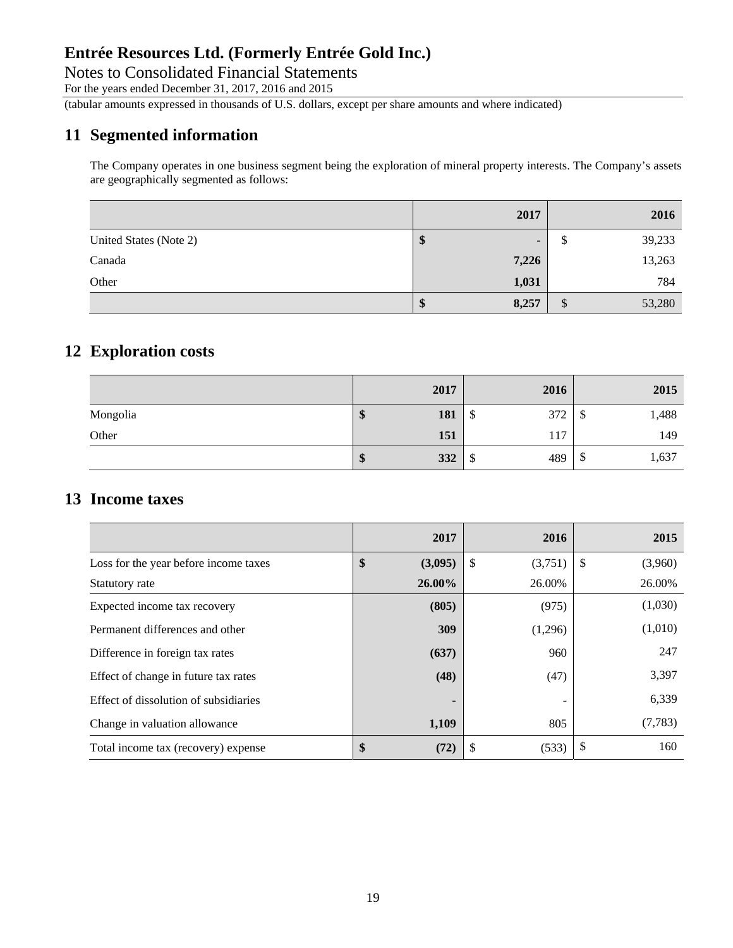Notes to Consolidated Financial Statements

For the years ended December 31, 2017, 2016 and 2015

(tabular amounts expressed in thousands of U.S. dollars, except per share amounts and where indicated)

# **11 Segmented information**

The Company operates in one business segment being the exploration of mineral property interests. The Company's assets are geographically segmented as follows:

|                        | 2017                          | 2016         |
|------------------------|-------------------------------|--------------|
| United States (Note 2) | $\overline{\phantom{0}}$<br>Ψ | 39,233<br>Φ  |
| Canada                 | 7,226                         | 13,263       |
| Other                  | 1,031                         | 784          |
|                        | 8,257<br>٨D                   | 53,280<br>\$ |

## **12 Exploration costs**

|          | 2017          | 2016                      | 2015  |
|----------|---------------|---------------------------|-------|
| Mongolia | 181           | 372                       | 1,488 |
|          | $\mathcal{P}$ | $\boldsymbol{\mathsf{S}}$ | -\$   |
| Other    | 151           | 117                       | 149   |
|          | 332           | 489                       | 1,637 |
|          | \$            | $\boldsymbol{\mathsf{S}}$ | Φ     |

# **13 Income taxes**

|                                       | 2017          | 2016          | 2015          |
|---------------------------------------|---------------|---------------|---------------|
| Loss for the year before income taxes | \$<br>(3,095) | \$<br>(3,751) | (3,960)<br>-S |
| Statutory rate                        | $26.00\%$     | 26.00%        | 26.00%        |
| Expected income tax recovery          | (805)         | (975)         | (1,030)       |
| Permanent differences and other       | 309           | (1,296)       | (1,010)       |
| Difference in foreign tax rates       | (637)         | 960           | 247           |
| Effect of change in future tax rates  | (48)          | (47)          | 3,397         |
| Effect of dissolution of subsidiaries | -             |               | 6,339         |
| Change in valuation allowance         | 1,109         | 805           | (7,783)       |
| Total income tax (recovery) expense   | \$<br>(72)    | (533)<br>\$   | 160<br>-S     |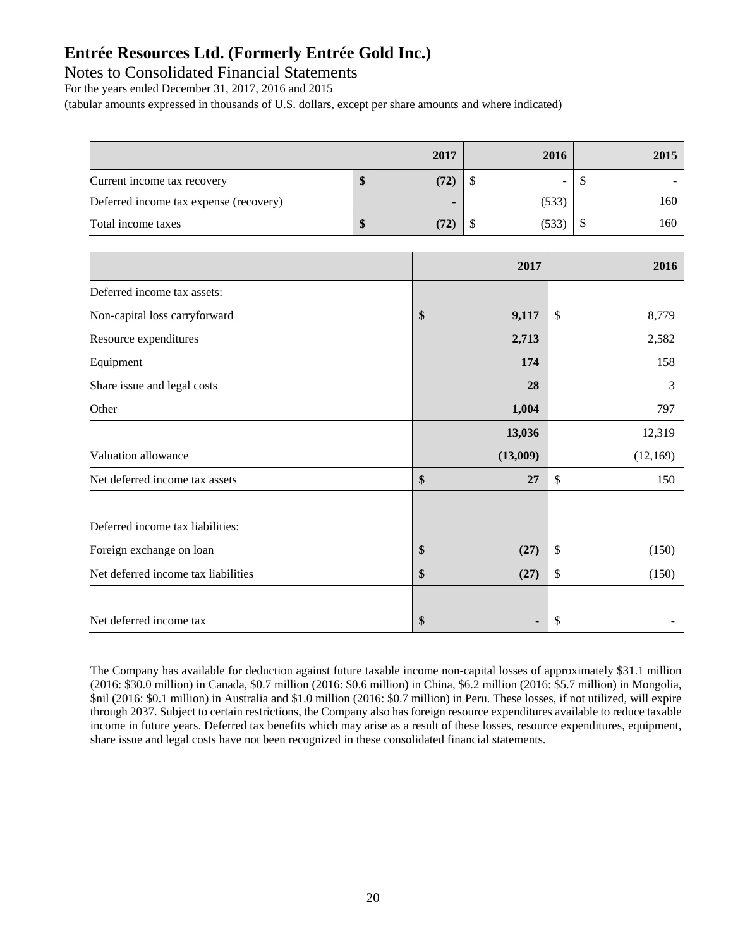Notes to Consolidated Financial Statements

For the years ended December 31, 2017, 2016 and 2015

(tabular amounts expressed in thousands of U.S. dollars, except per share amounts and where indicated)

|                                        |    | 2017 | 2016       |         |       |                     | 2015  |        |  |  |
|----------------------------------------|----|------|------------|---------|-------|---------------------|-------|--------|--|--|
| Current income tax recovery            | \$ |      | (72)       | $\$\,$  |       |                     | \$    |        |  |  |
| Deferred income tax expense (recovery) |    |      |            | (533)   |       |                     | 160   |        |  |  |
| Total income taxes                     | \$ |      | (72)       | \$      | (533) |                     |       | 160    |  |  |
|                                        |    |      |            |         |       |                     |       |        |  |  |
|                                        |    |      |            |         | 2017  |                     |       | 2016   |  |  |
| Deferred income tax assets:            |    |      |            |         |       |                     |       |        |  |  |
| Non-capital loss carryforward          |    |      | \$         |         | 9,117 | \$<br>8,779         |       |        |  |  |
| Resource expenditures                  |    |      | 2,713      |         |       |                     | 2,582 |        |  |  |
| Equipment                              |    | 174  |            |         |       | 158                 |       |        |  |  |
| Share issue and legal costs            |    |      | 28         |         |       |                     | 3     |        |  |  |
| Other                                  |    |      | 1,004      |         |       |                     | 797   |        |  |  |
|                                        |    |      | 13,036     |         |       |                     |       | 12,319 |  |  |
| Valuation allowance                    |    |      | (13,009)   |         |       | (12,169)            |       |        |  |  |
| Net deferred income tax assets         |    |      | \$<br>27   |         |       | $\mathbb{S}$<br>150 |       |        |  |  |
|                                        |    |      |            |         |       |                     |       |        |  |  |
| Deferred income tax liabilities:       |    |      |            |         |       |                     |       |        |  |  |
| Foreign exchange on loan               |    |      | \$<br>(27) |         |       | \$                  | (150) |        |  |  |
| Net deferred income tax liabilities    |    |      | \$<br>(27) |         |       | \$<br>(150)         |       |        |  |  |
|                                        |    |      |            |         |       |                     |       |        |  |  |
| Net deferred income tax                |    |      | \$         | \$<br>۰ |       |                     |       |        |  |  |

The Company has available for deduction against future taxable income non-capital losses of approximately \$31.1 million (2016: \$30.0 million) in Canada, \$0.7 million (2016: \$0.6 million) in China, \$6.2 million (2016: \$5.7 million) in Mongolia, \$nil (2016: \$0.1 million) in Australia and \$1.0 million (2016: \$0.7 million) in Peru. These losses, if not utilized, will expire through 2037. Subject to certain restrictions, the Company also has foreign resource expenditures available to reduce taxable income in future years. Deferred tax benefits which may arise as a result of these losses, resource expenditures, equipment, share issue and legal costs have not been recognized in these consolidated financial statements.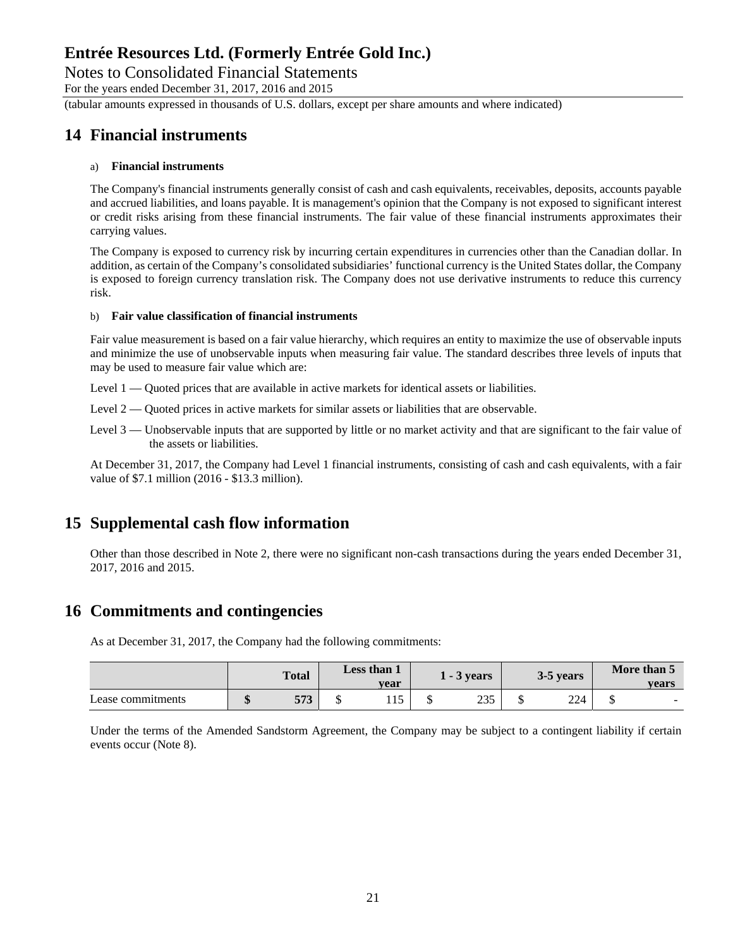Notes to Consolidated Financial Statements

For the years ended December 31, 2017, 2016 and 2015

(tabular amounts expressed in thousands of U.S. dollars, except per share amounts and where indicated)

### **14 Financial instruments**

### a) **Financial instruments**

The Company's financial instruments generally consist of cash and cash equivalents, receivables, deposits, accounts payable and accrued liabilities, and loans payable. It is management's opinion that the Company is not exposed to significant interest or credit risks arising from these financial instruments. The fair value of these financial instruments approximates their carrying values.

The Company is exposed to currency risk by incurring certain expenditures in currencies other than the Canadian dollar. In addition, as certain of the Company's consolidated subsidiaries' functional currency is the United States dollar, the Company is exposed to foreign currency translation risk. The Company does not use derivative instruments to reduce this currency risk.

#### b) **Fair value classification of financial instruments**

Fair value measurement is based on a fair value hierarchy, which requires an entity to maximize the use of observable inputs and minimize the use of unobservable inputs when measuring fair value. The standard describes three levels of inputs that may be used to measure fair value which are:

- Level 1 Quoted prices that are available in active markets for identical assets or liabilities.
- Level 2 Quoted prices in active markets for similar assets or liabilities that are observable.
- Level 3 Unobservable inputs that are supported by little or no market activity and that are significant to the fair value of the assets or liabilities.

At December 31, 2017, the Company had Level 1 financial instruments, consisting of cash and cash equivalents, with a fair value of \$7.1 million (2016 - \$13.3 million).

### **15 Supplemental cash flow information**

Other than those described in Note 2, there were no significant non-cash transactions during the years ended December 31, 2017, 2016 and 2015.

### **16 Commitments and contingencies**

As at December 31, 2017, the Company had the following commitments:

|                   | <b>Total</b> | Less than 1 |  | $-3$ vears<br>vear |             | 3-5 years |     | More than 5<br>vears |        |
|-------------------|--------------|-------------|--|--------------------|-------------|-----------|-----|----------------------|--------|
| Lease commitments | 573          |             |  |                    | つつく<br>ل0ت⊿ |           | 224 | ഄ                    | $\sim$ |

Under the terms of the Amended Sandstorm Agreement, the Company may be subject to a contingent liability if certain events occur (Note 8).